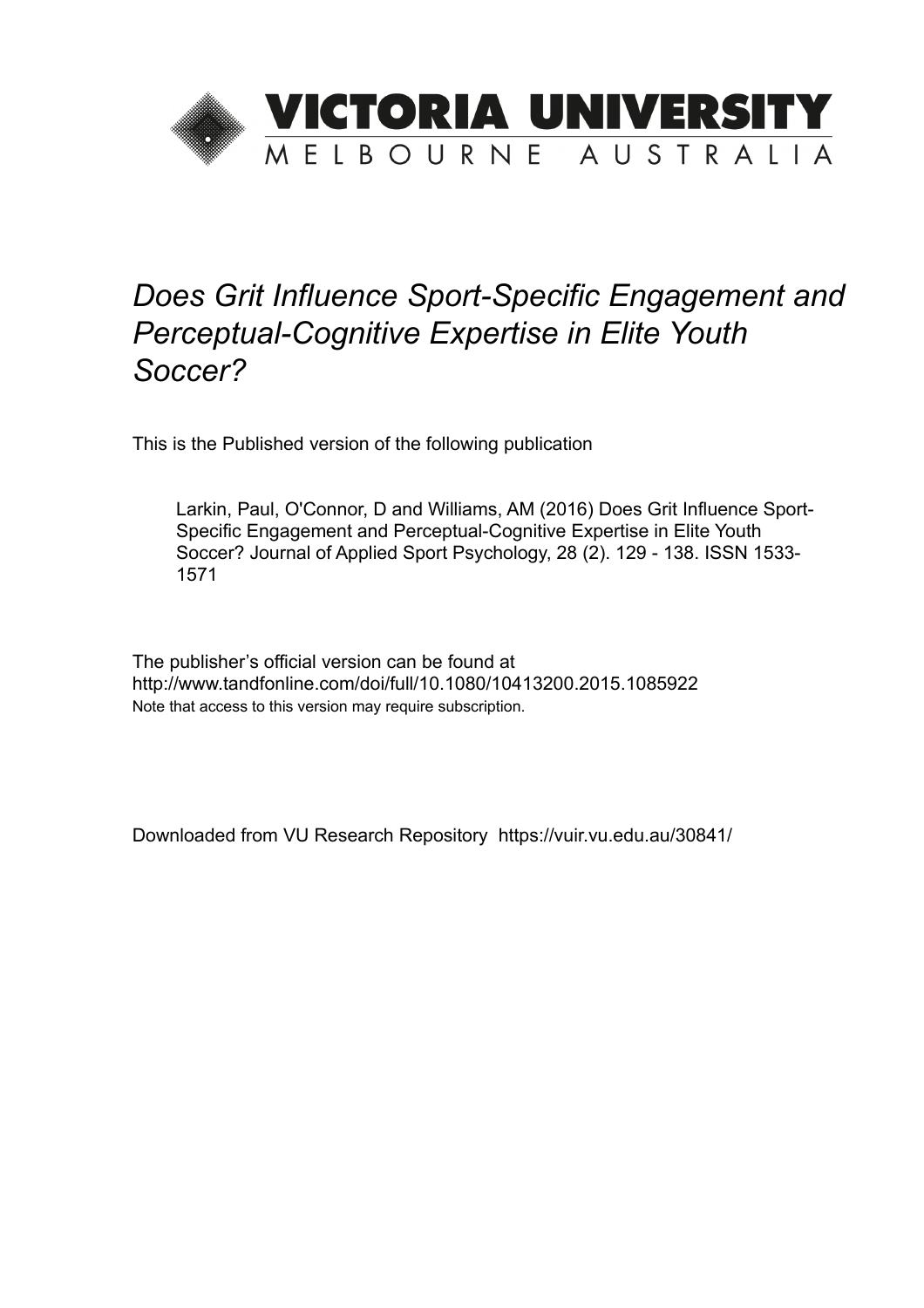

# *Does Grit Influence Sport-Specific Engagement and Perceptual-Cognitive Expertise in Elite Youth Soccer?*

This is the Published version of the following publication

Larkin, Paul, O'Connor, D and Williams, AM (2016) Does Grit Influence Sport-Specific Engagement and Perceptual-Cognitive Expertise in Elite Youth Soccer? Journal of Applied Sport Psychology, 28 (2). 129 - 138. ISSN 1533- 1571

The publisher's official version can be found at http://www.tandfonline.com/doi/full/10.1080/10413200.2015.1085922 Note that access to this version may require subscription.

Downloaded from VU Research Repository https://vuir.vu.edu.au/30841/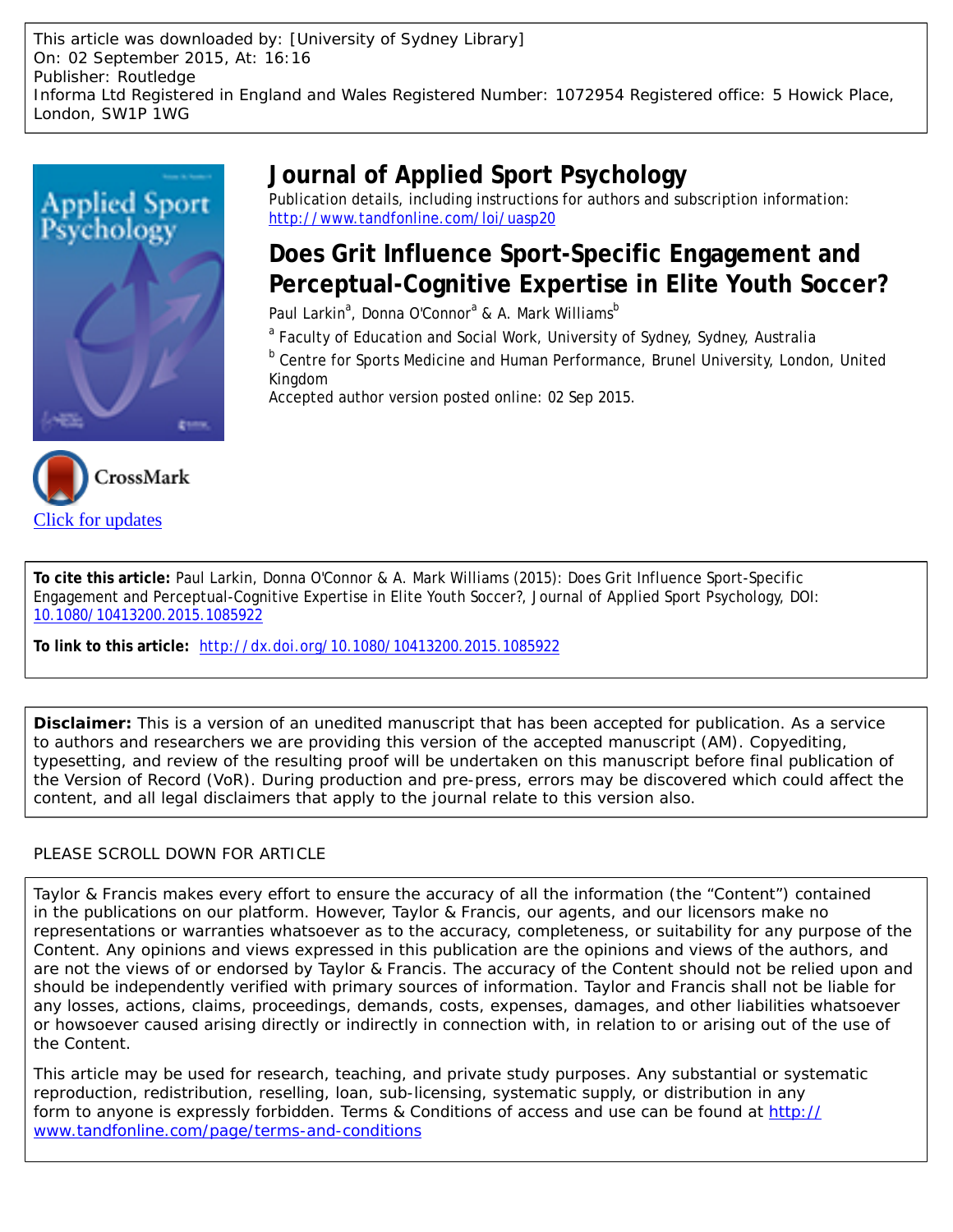This article was downloaded by: [University of Sydney Library] On: 02 September 2015, At: 16:16 Publisher: Routledge Informa Ltd Registered in England and Wales Registered Number: 1072954 Registered office: 5 Howick Place, London, SW1P 1WG



## **Journal of Applied Sport Psychology**

Publication details, including instructions for authors and subscription information: <http://www.tandfonline.com/loi/uasp20>

## **Does Grit Influence Sport-Specific Engagement and Perceptual-Cognitive Expertise in Elite Youth Soccer?**

Paul Larkin<sup>a</sup>, Donna O'Connor<sup>a</sup> & A. Mark Williams<sup>b</sup>

<sup>a</sup> Faculty of Education and Social Work, University of Sydney, Sydney, Australia

<sup>b</sup> Centre for Sports Medicine and Human Performance, Brunel University, London, United Kingdom

Accepted author version posted online: 02 Sep 2015.



**To cite this article:** Paul Larkin, Donna O'Connor & A. Mark Williams (2015): Does Grit Influence Sport-Specific Engagement and Perceptual-Cognitive Expertise in Elite Youth Soccer?, Journal of Applied Sport Psychology, DOI: [10.1080/10413200.2015.1085922](http://www.tandfonline.com/action/showCitFormats?doi=10.1080/10413200.2015.1085922)

**To link to this article:** <http://dx.doi.org/10.1080/10413200.2015.1085922>

**Disclaimer:** This is a version of an unedited manuscript that has been accepted for publication. As a service to authors and researchers we are providing this version of the accepted manuscript (AM). Copyediting, typesetting, and review of the resulting proof will be undertaken on this manuscript before final publication of the Version of Record (VoR). During production and pre-press, errors may be discovered which could affect the content, and all legal disclaimers that apply to the journal relate to this version also.

#### PLEASE SCROLL DOWN FOR ARTICLE

Taylor & Francis makes every effort to ensure the accuracy of all the information (the "Content") contained in the publications on our platform. However, Taylor & Francis, our agents, and our licensors make no representations or warranties whatsoever as to the accuracy, completeness, or suitability for any purpose of the Content. Any opinions and views expressed in this publication are the opinions and views of the authors, and are not the views of or endorsed by Taylor & Francis. The accuracy of the Content should not be relied upon and should be independently verified with primary sources of information. Taylor and Francis shall not be liable for any losses, actions, claims, proceedings, demands, costs, expenses, damages, and other liabilities whatsoever or howsoever caused arising directly or indirectly in connection with, in relation to or arising out of the use of the Content.

This article may be used for research, teaching, and private study purposes. Any substantial or systematic reproduction, redistribution, reselling, loan, sub-licensing, systematic supply, or distribution in any form to anyone is expressly forbidden. Terms & Conditions of access and use can be found at [http://](http://www.tandfonline.com/page/terms-and-conditions) [www.tandfonline.com/page/terms-and-conditions](http://www.tandfonline.com/page/terms-and-conditions)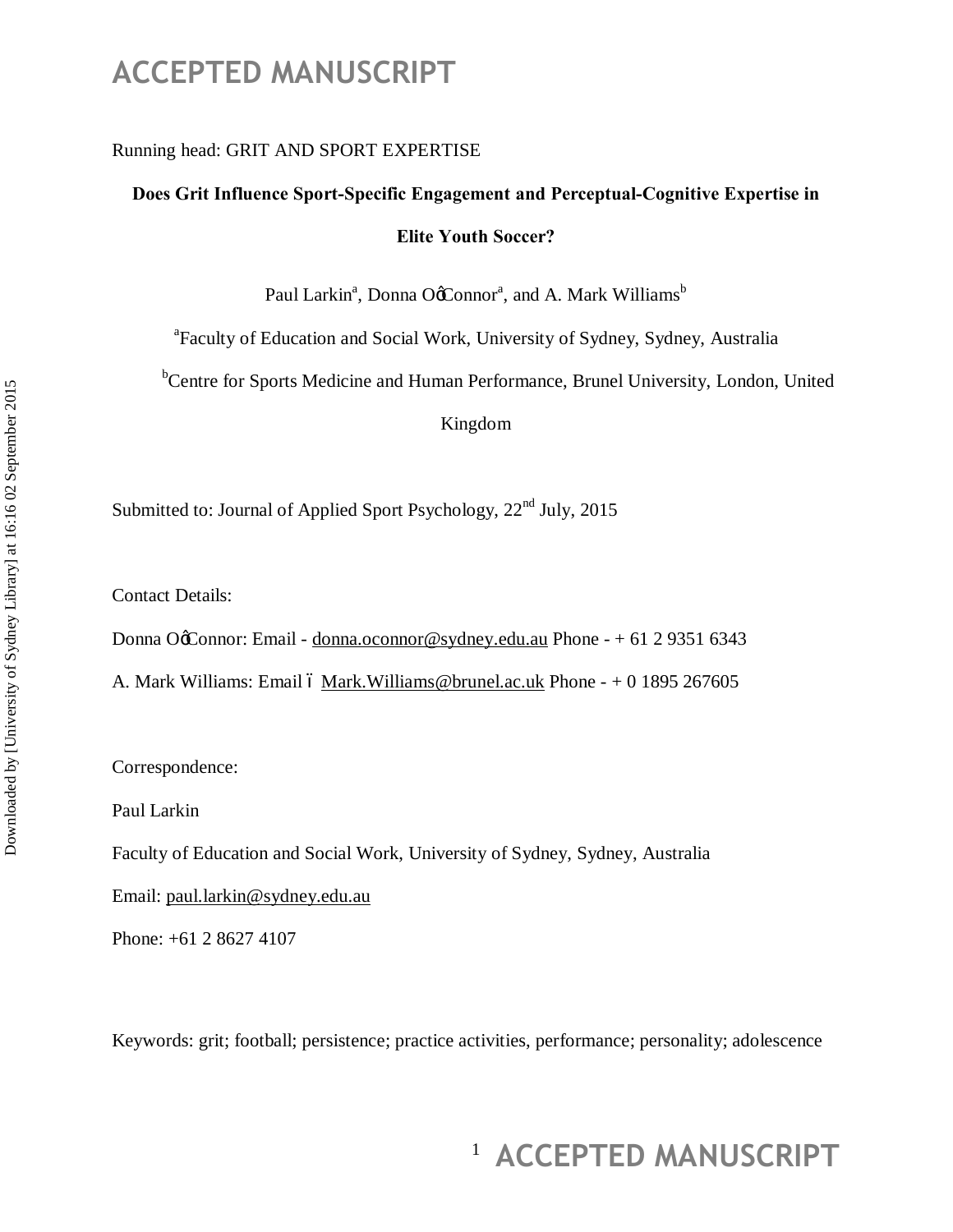#### Running head: GRIT AND SPORT EXPERTISE

### **Does Grit Influence Sport-Specific Engagement and Perceptual-Cognitive Expertise in Elite Youth Soccer?**

Paul Larkin<sup>a</sup>, Donna O¢Connor<sup>a</sup>, and A. Mark Williams<sup>b</sup>

<sup>a</sup> Faculty of Education and Social Work, University of Sydney, Sydney, Australia

<sup>b</sup>Centre for Sports Medicine and Human Performance, Brunel University, London, United

Kingdom

Submitted to: Journal of Applied Sport Psychology, 22<sup>nd</sup> July, 2015

Contact Details:

Donna OgConnor: Email - donna.oconnor@sydney.edu.au Phone - + 61 2 9351 6343

A. Mark Williams: Email 6 Mark. Williams@brunel.ac.uk Phone  $- + 0$  1895 267605

Correspondence:

Paul Larkin

Faculty of Education and Social Work, University of Sydney, Sydney, Australia

Email: paul.larkin@sydney.edu.au

Phone: +61 2 8627 4107

Keywords: grit; football; persistence; practice activities, performance; personality; adolescence

# <sup>1</sup> ACCEPTED MANUSCRIPT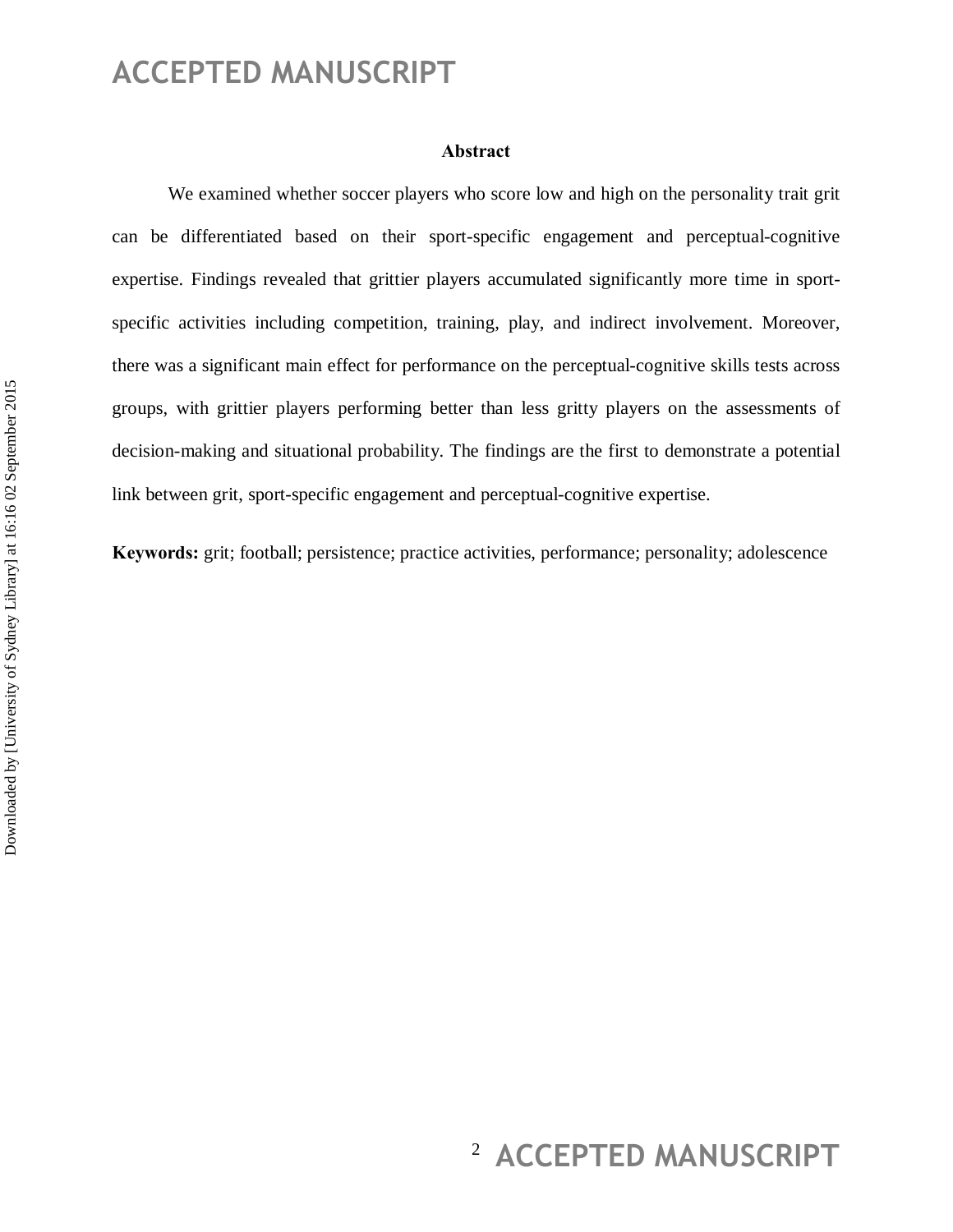#### **Abstract**

We examined whether soccer players who score low and high on the personality trait grit can be differentiated based on their sport-specific engagement and perceptual-cognitive expertise. Findings revealed that grittier players accumulated significantly more time in sportspecific activities including competition, training, play, and indirect involvement. Moreover, there was a significant main effect for performance on the perceptual-cognitive skills tests across groups, with grittier players performing better than less gritty players on the assessments of decision-making and situational probability. The findings are the first to demonstrate a potential link between grit, sport-specific engagement and perceptual-cognitive expertise.

**Keywords:** grit; football; persistence; practice activities, performance; personality; adolescence

# <sup>2</sup> ACCEPTED MANUSCRIPT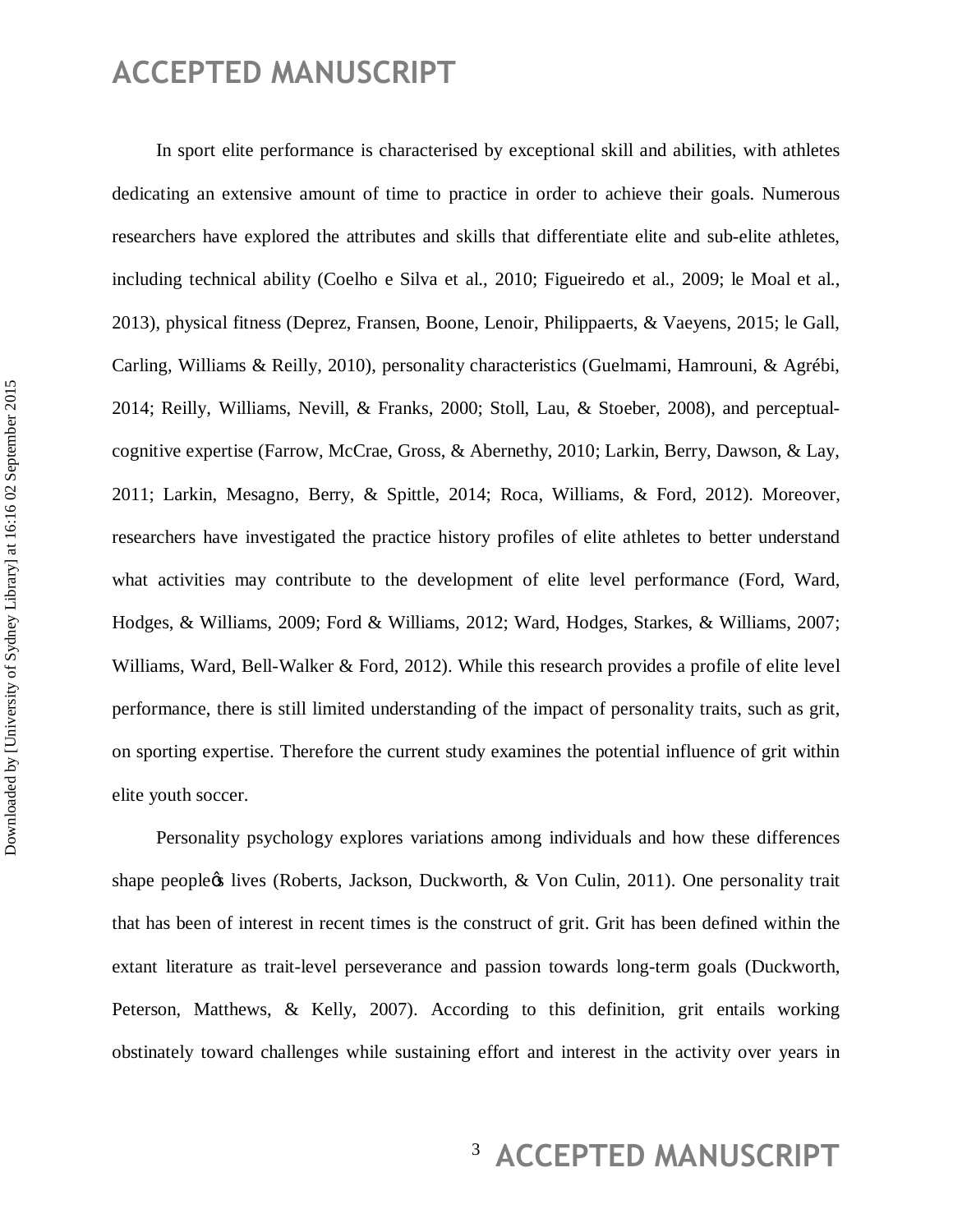In sport elite performance is characterised by exceptional skill and abilities, with athletes dedicating an extensive amount of time to practice in order to achieve their goals. Numerous researchers have explored the attributes and skills that differentiate elite and sub-elite athletes, including technical ability (Coelho e Silva et al., 2010; Figueiredo et al., 2009; le Moal et al., 2013), physical fitness (Deprez, Fransen, Boone, Lenoir, Philippaerts, & Vaeyens, 2015; le Gall, Carling, Williams & Reilly, 2010), personality characteristics (Guelmami, Hamrouni, & Agrébi, 2014; Reilly, Williams, Nevill, & Franks, 2000; Stoll, Lau, & Stoeber, 2008), and perceptualcognitive expertise (Farrow, McCrae, Gross, & Abernethy, 2010; Larkin, Berry, Dawson, & Lay, 2011; Larkin, Mesagno, Berry, & Spittle, 2014; Roca, Williams, & Ford, 2012). Moreover, researchers have investigated the practice history profiles of elite athletes to better understand what activities may contribute to the development of elite level performance (Ford, Ward, Hodges, & Williams, 2009; Ford & Williams, 2012; Ward, Hodges, Starkes, & Williams, 2007; Williams, Ward, Bell-Walker & Ford, 2012). While this research provides a profile of elite level performance, there is still limited understanding of the impact of personality traits, such as grit, on sporting expertise. Therefore the current study examines the potential influence of grit within elite youth soccer.

Personality psychology explores variations among individuals and how these differences shape people $\alpha$  lives (Roberts, Jackson, Duckworth,  $\&$  Von Culin, 2011). One personality trait that has been of interest in recent times is the construct of grit. Grit has been defined within the extant literature as trait-level perseverance and passion towards long-term goals (Duckworth, Peterson, Matthews, & Kelly, 2007). According to this definition, grit entails working obstinately toward challenges while sustaining effort and interest in the activity over years in

# <sup>3</sup> ACCEPTED MANUSCRIPT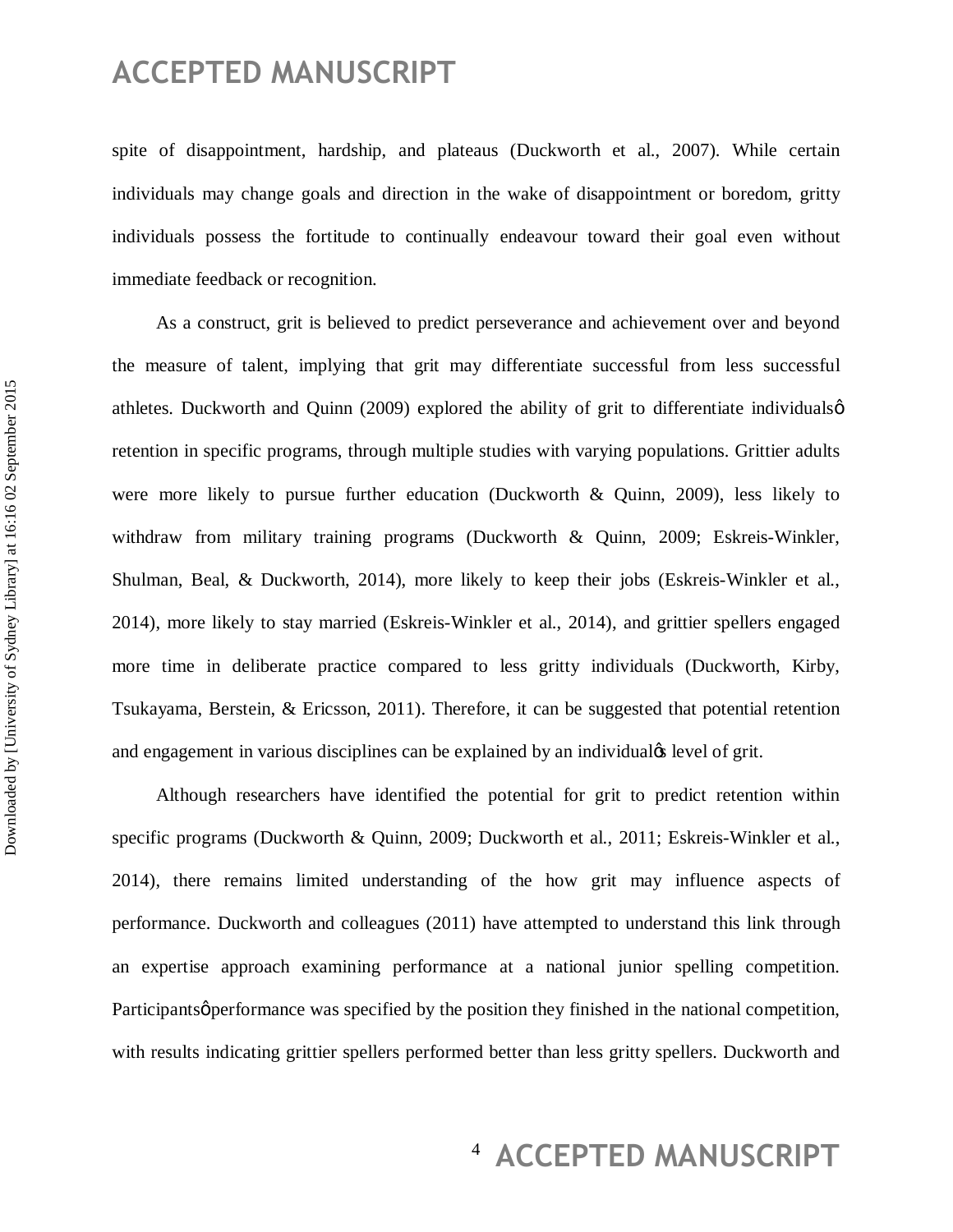spite of disappointment, hardship, and plateaus (Duckworth et al., 2007). While certain individuals may change goals and direction in the wake of disappointment or boredom, gritty individuals possess the fortitude to continually endeavour toward their goal even without immediate feedback or recognition.

As a construct, grit is believed to predict perseverance and achievement over and beyond the measure of talent, implying that grit may differentiate successful from less successful athletes. Duckworth and Quinn (2009) explored the ability of grit to differentiate individuals  $\phi$ retention in specific programs, through multiple studies with varying populations. Grittier adults were more likely to pursue further education (Duckworth & Quinn, 2009), less likely to withdraw from military training programs (Duckworth & Quinn, 2009; Eskreis-Winkler, Shulman, Beal, & Duckworth, 2014), more likely to keep their jobs (Eskreis-Winkler et al., 2014), more likely to stay married (Eskreis-Winkler et al., 2014), and grittier spellers engaged more time in deliberate practice compared to less gritty individuals (Duckworth, Kirby, Tsukayama, Berstein, & Ericsson, 2011). Therefore, it can be suggested that potential retention and engagement in various disciplines can be explained by an individual tevel of grit.

Although researchers have identified the potential for grit to predict retention within specific programs (Duckworth & Quinn, 2009; Duckworth et al., 2011; Eskreis-Winkler et al., 2014), there remains limited understanding of the how grit may influence aspects of performance. Duckworth and colleagues (2011) have attempted to understand this link through an expertise approach examining performance at a national junior spelling competition. Participants *performance* was specified by the position they finished in the national competition, with results indicating grittier spellers performed better than less gritty spellers. Duckworth and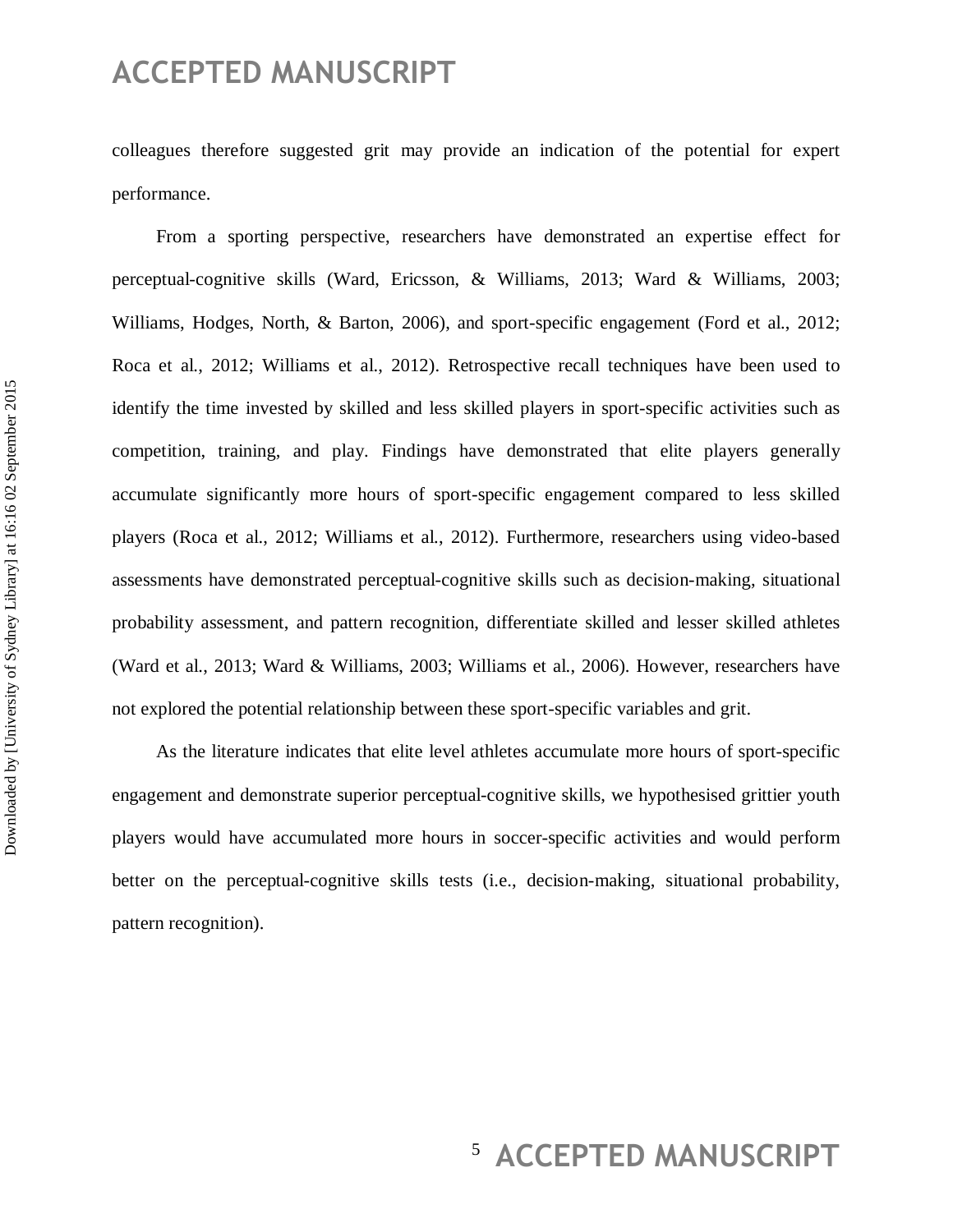colleagues therefore suggested grit may provide an indication of the potential for expert performance.

From a sporting perspective, researchers have demonstrated an expertise effect for perceptual-cognitive skills (Ward, Ericsson, & Williams, 2013; Ward & Williams, 2003; Williams, Hodges, North, & Barton, 2006), and sport-specific engagement (Ford et al., 2012; Roca et al., 2012; Williams et al., 2012). Retrospective recall techniques have been used to identify the time invested by skilled and less skilled players in sport-specific activities such as competition, training, and play. Findings have demonstrated that elite players generally accumulate significantly more hours of sport-specific engagement compared to less skilled players (Roca et al., 2012; Williams et al., 2012). Furthermore, researchers using video-based assessments have demonstrated perceptual-cognitive skills such as decision-making, situational probability assessment, and pattern recognition, differentiate skilled and lesser skilled athletes (Ward et al., 2013; Ward & Williams, 2003; Williams et al., 2006). However, researchers have not explored the potential relationship between these sport-specific variables and grit.

As the literature indicates that elite level athletes accumulate more hours of sport-specific engagement and demonstrate superior perceptual-cognitive skills, we hypothesised grittier youth players would have accumulated more hours in soccer-specific activities and would perform better on the perceptual-cognitive skills tests (i.e., decision-making, situational probability, pattern recognition).

# <sup>5</sup> ACCEPTED MANUSCRIPT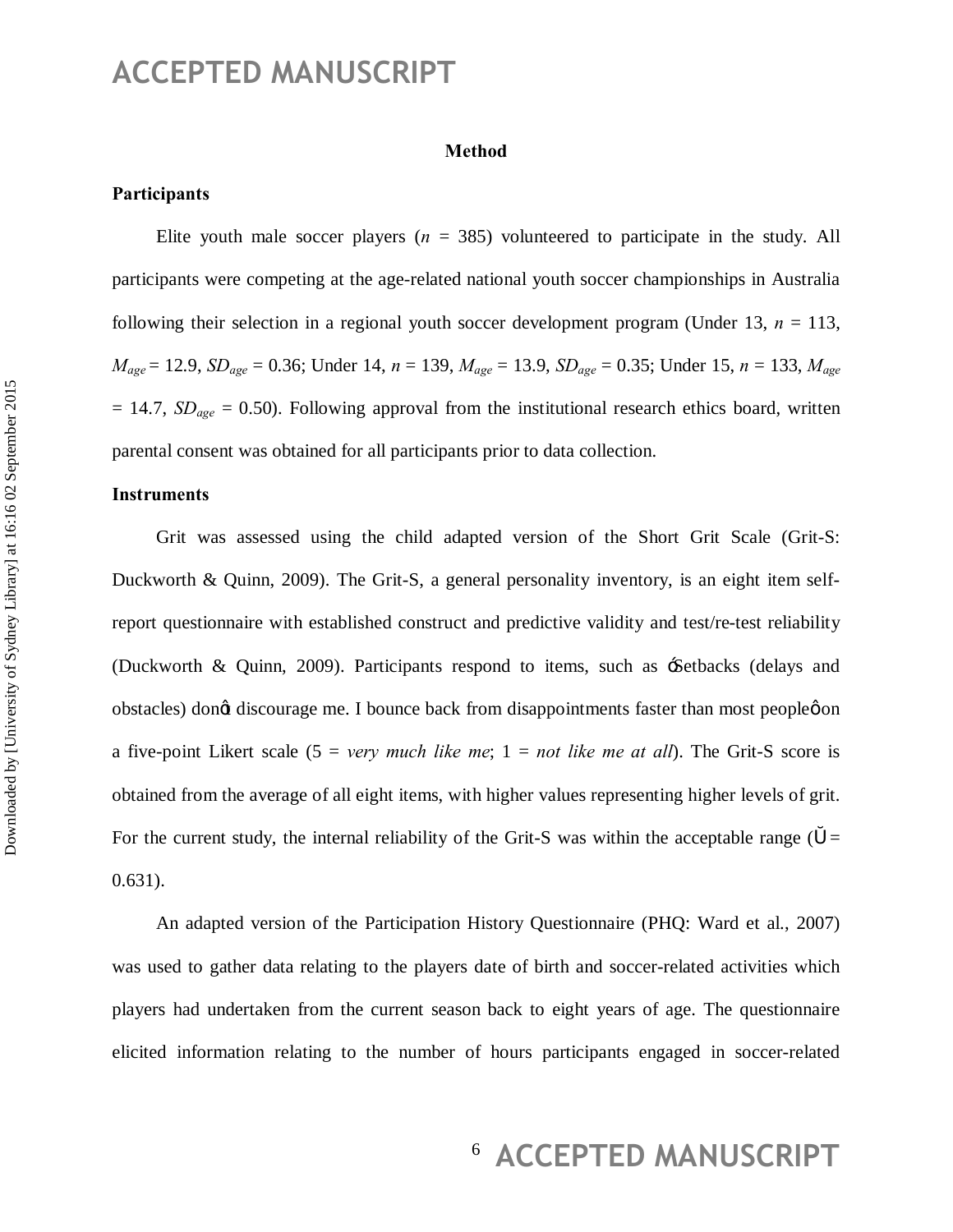#### **Method**

#### **Participants**

Elite youth male soccer players  $(n = 385)$  volunteered to participate in the study. All participants were competing at the age-related national youth soccer championships in Australia following their selection in a regional youth soccer development program (Under 13, *n* = 113,  $M_{age} = 12.9$ ,  $SD_{age} = 0.36$ ; Under 14,  $n = 139$ ,  $M_{age} = 13.9$ ,  $SD_{age} = 0.35$ ; Under 15,  $n = 133$ ,  $M_{age} = 0.35$  $= 14.7$ ,  $SD_{age} = 0.50$ ). Following approval from the institutional research ethics board, written parental consent was obtained for all participants prior to data collection.

#### **Instruments**

Grit was assessed using the child adapted version of the Short Grit Scale (Grit-S: Duckworth & Quinn, 2009). The Grit-S, a general personality inventory, is an eight item selfreport questionnaire with established construct and predictive validity and test/re-test reliability (Duckworth & Quinn, 2009). Participants respond to items, such as 'Setbacks (delays and obstacles) dongt discourage me. I bounce back from disappointments faster than most peopleon a five-point Likert scale (5 = *very much like me*; 1 = *not like me at all*). The Grit-S score is obtained from the average of all eight items, with higher values representing higher levels of grit. For the current study, the internal reliability of the Grit-S was within the acceptable range  $($ 0.631).

An adapted version of the Participation History Questionnaire (PHQ: Ward et al., 2007) was used to gather data relating to the players date of birth and soccer-related activities which players had undertaken from the current season back to eight years of age. The questionnaire elicited information relating to the number of hours participants engaged in soccer-related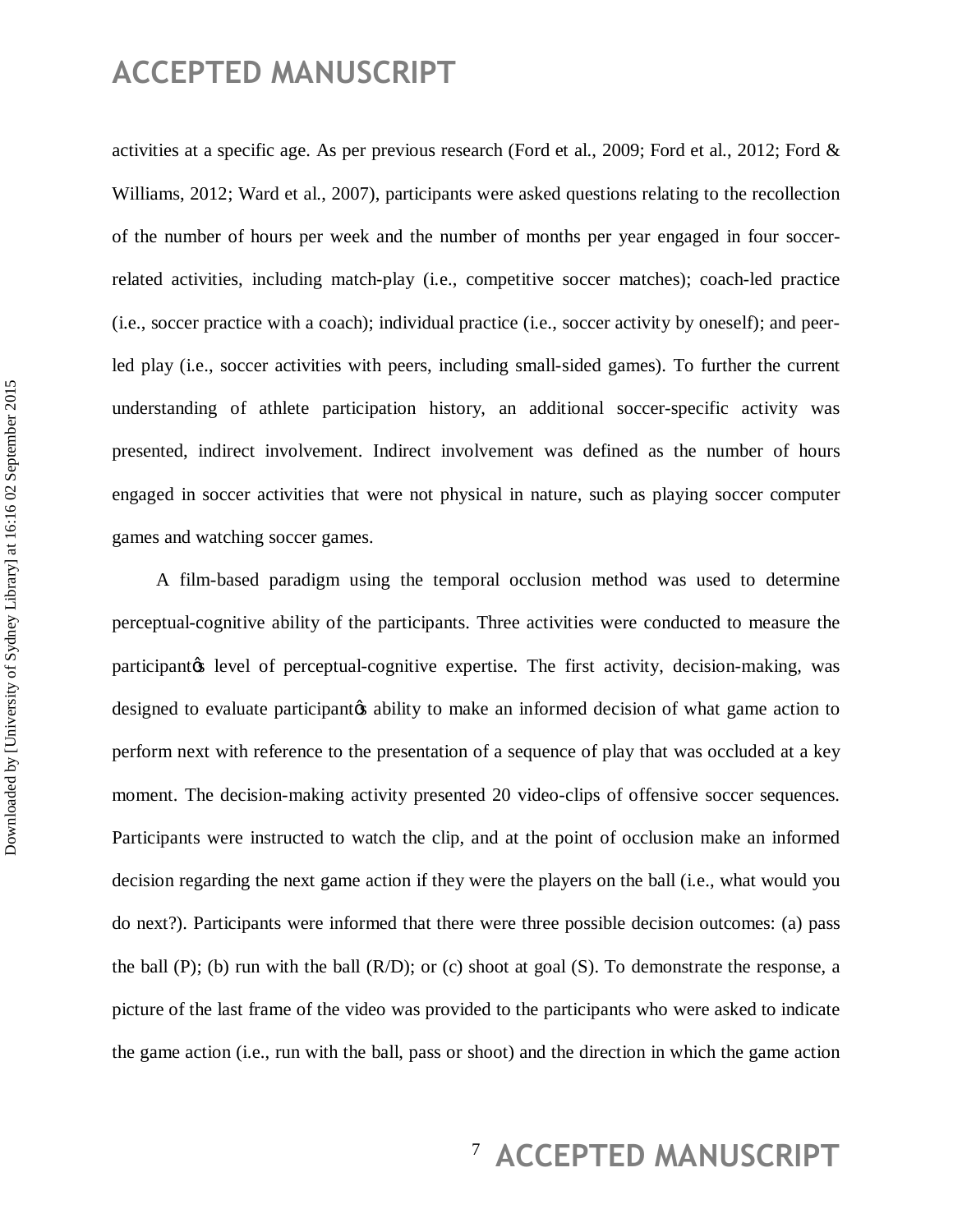activities at a specific age. As per previous research (Ford et al., 2009; Ford et al., 2012; Ford & Williams, 2012; Ward et al., 2007), participants were asked questions relating to the recollection of the number of hours per week and the number of months per year engaged in four soccerrelated activities, including match-play (i.e., competitive soccer matches); coach-led practice (i.e., soccer practice with a coach); individual practice (i.e., soccer activity by oneself); and peerled play (i.e., soccer activities with peers, including small-sided games). To further the current understanding of athlete participation history, an additional soccer-specific activity was presented, indirect involvement. Indirect involvement was defined as the number of hours engaged in soccer activities that were not physical in nature, such as playing soccer computer games and watching soccer games.

A film-based paradigm using the temporal occlusion method was used to determine perceptual-cognitive ability of the participants. Three activities were conducted to measure the participantos level of perceptual-cognitive expertise. The first activity, decision-making, was designed to evaluate participant to ability to make an informed decision of what game action to perform next with reference to the presentation of a sequence of play that was occluded at a key moment. The decision-making activity presented 20 video-clips of offensive soccer sequences. Participants were instructed to watch the clip, and at the point of occlusion make an informed decision regarding the next game action if they were the players on the ball (i.e., what would you do next?). Participants were informed that there were three possible decision outcomes: (a) pass the ball (P); (b) run with the ball  $(R/D)$ ; or (c) shoot at goal (S). To demonstrate the response, a picture of the last frame of the video was provided to the participants who were asked to indicate the game action (i.e., run with the ball, pass or shoot) and the direction in which the game action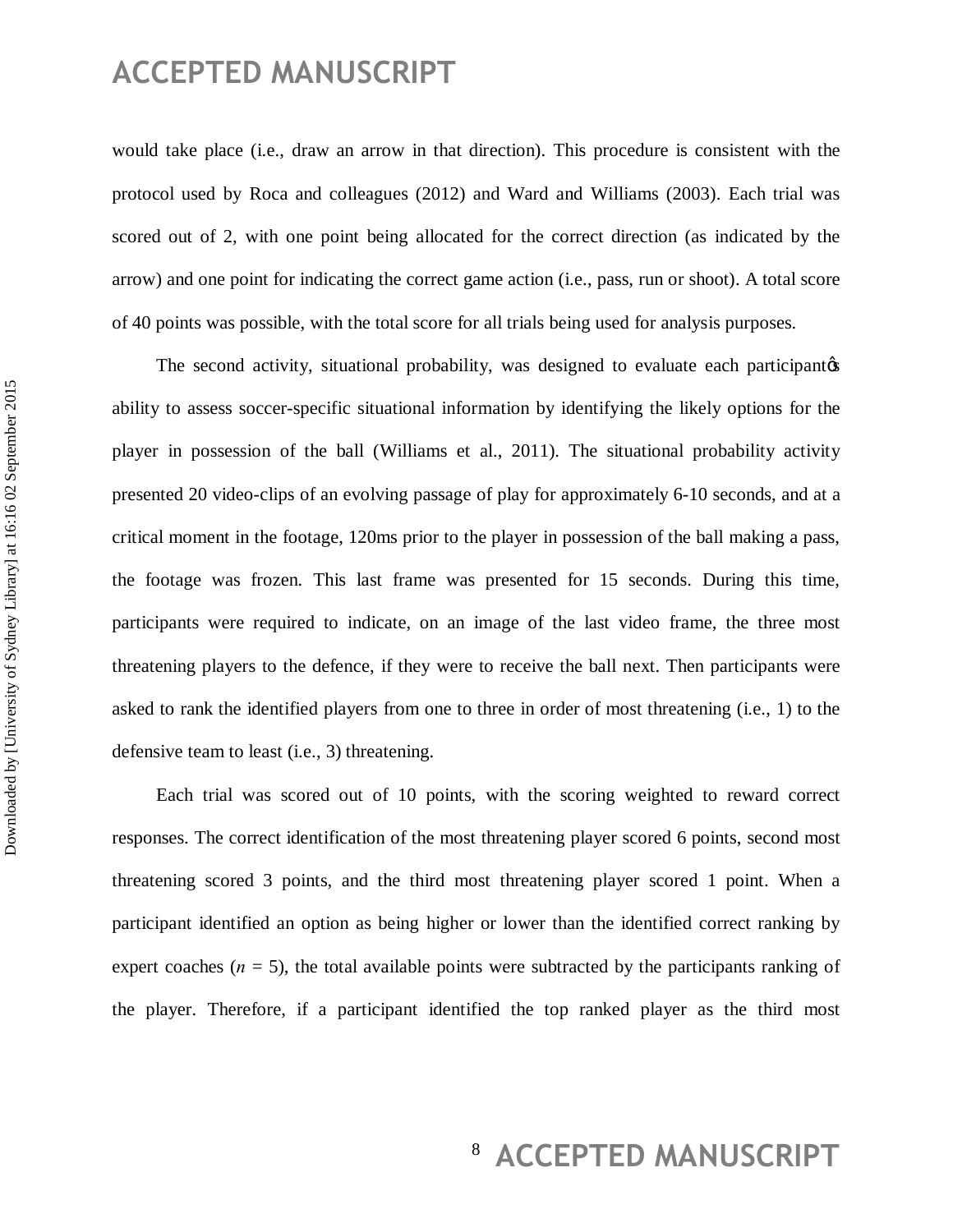would take place (i.e., draw an arrow in that direction). This procedure is consistent with the protocol used by Roca and colleagues (2012) and Ward and Williams (2003). Each trial was scored out of 2, with one point being allocated for the correct direction (as indicated by the arrow) and one point for indicating the correct game action (i.e., pass, run or shoot). A total score of 40 points was possible, with the total score for all trials being used for analysis purposes.

The second activity, situational probability, was designed to evaluate each participant  $\alpha$ ability to assess soccer-specific situational information by identifying the likely options for the player in possession of the ball (Williams et al., 2011). The situational probability activity presented 20 video-clips of an evolving passage of play for approximately 6-10 seconds, and at a critical moment in the footage, 120ms prior to the player in possession of the ball making a pass, the footage was frozen. This last frame was presented for 15 seconds. During this time, participants were required to indicate, on an image of the last video frame, the three most threatening players to the defence, if they were to receive the ball next. Then participants were asked to rank the identified players from one to three in order of most threatening (i.e., 1) to the defensive team to least (i.e., 3) threatening.

Each trial was scored out of 10 points, with the scoring weighted to reward correct responses. The correct identification of the most threatening player scored 6 points, second most threatening scored 3 points, and the third most threatening player scored 1 point. When a participant identified an option as being higher or lower than the identified correct ranking by expert coaches  $(n = 5)$ , the total available points were subtracted by the participants ranking of the player. Therefore, if a participant identified the top ranked player as the third most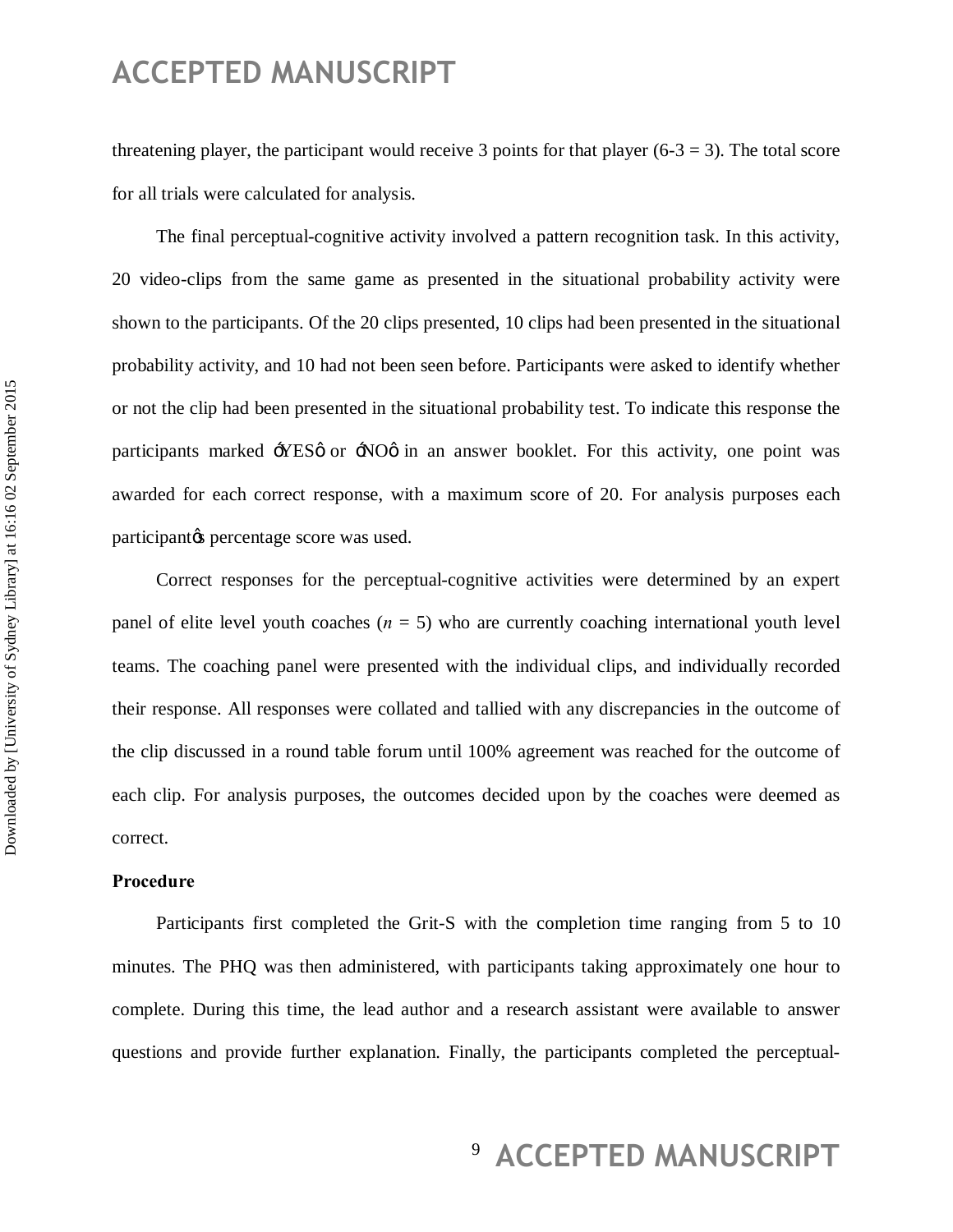threatening player, the participant would receive 3 points for that player  $(6-3 = 3)$ . The total score for all trials were calculated for analysis.

The final perceptual-cognitive activity involved a pattern recognition task. In this activity, 20 video-clips from the same game as presented in the situational probability activity were shown to the participants. Of the 20 clips presented, 10 clips had been presented in the situational probability activity, and 10 had not been seen before. Participants were asked to identify whether or not the clip had been presented in the situational probability test. To indicate this response the participants marked  $-$ YES $\phi$  or  $-\text{NO}\phi$  in an answer booklet. For this activity, one point was awarded for each correct response, with a maximum score of 20. For analysis purposes each participant<sub>/s</sub> percentage score was used.

Correct responses for the perceptual-cognitive activities were determined by an expert panel of elite level youth coaches  $(n = 5)$  who are currently coaching international youth level teams. The coaching panel were presented with the individual clips, and individually recorded their response. All responses were collated and tallied with any discrepancies in the outcome of the clip discussed in a round table forum until 100% agreement was reached for the outcome of each clip. For analysis purposes, the outcomes decided upon by the coaches were deemed as correct.

#### **Procedure**

Participants first completed the Grit-S with the completion time ranging from 5 to 10 minutes. The PHQ was then administered, with participants taking approximately one hour to complete. During this time, the lead author and a research assistant were available to answer questions and provide further explanation. Finally, the participants completed the perceptual-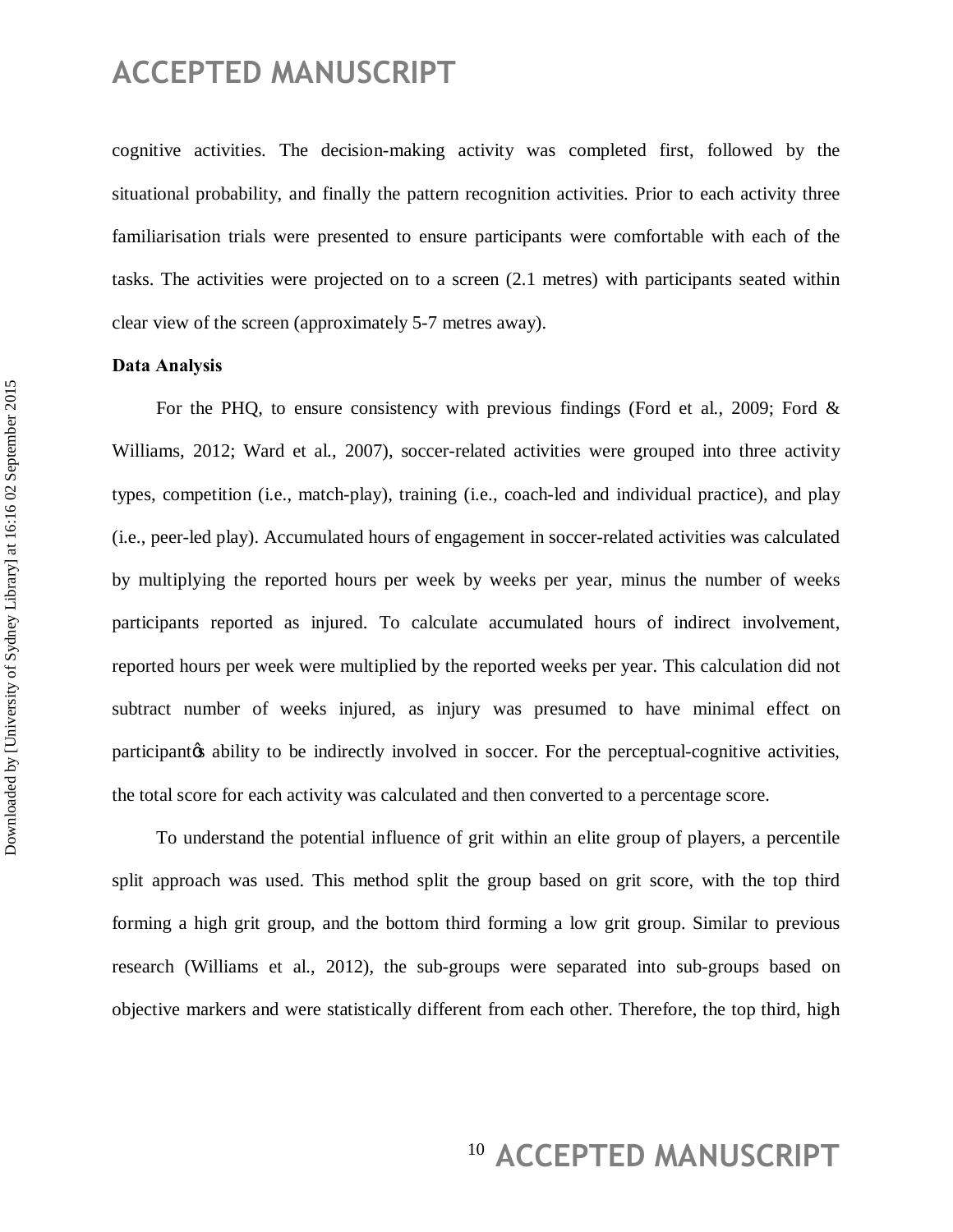cognitive activities. The decision-making activity was completed first, followed by the situational probability, and finally the pattern recognition activities. Prior to each activity three familiarisation trials were presented to ensure participants were comfortable with each of the tasks. The activities were projected on to a screen (2.1 metres) with participants seated within clear view of the screen (approximately 5-7 metres away).

#### **Data Analysis**

For the PHQ, to ensure consistency with previous findings (Ford et al., 2009; Ford & Williams, 2012; Ward et al., 2007), soccer-related activities were grouped into three activity types, competition (i.e., match-play), training (i.e., coach-led and individual practice), and play (i.e., peer-led play). Accumulated hours of engagement in soccer-related activities was calculated by multiplying the reported hours per week by weeks per year, minus the number of weeks participants reported as injured. To calculate accumulated hours of indirect involvement, reported hours per week were multiplied by the reported weeks per year. This calculation did not subtract number of weeks injured, as injury was presumed to have minimal effect on participant to be indirectly involved in soccer. For the perceptual-cognitive activities, the total score for each activity was calculated and then converted to a percentage score.

To understand the potential influence of grit within an elite group of players, a percentile split approach was used. This method split the group based on grit score, with the top third forming a high grit group, and the bottom third forming a low grit group. Similar to previous research (Williams et al., 2012), the sub-groups were separated into sub-groups based on objective markers and were statistically different from each other. Therefore, the top third, high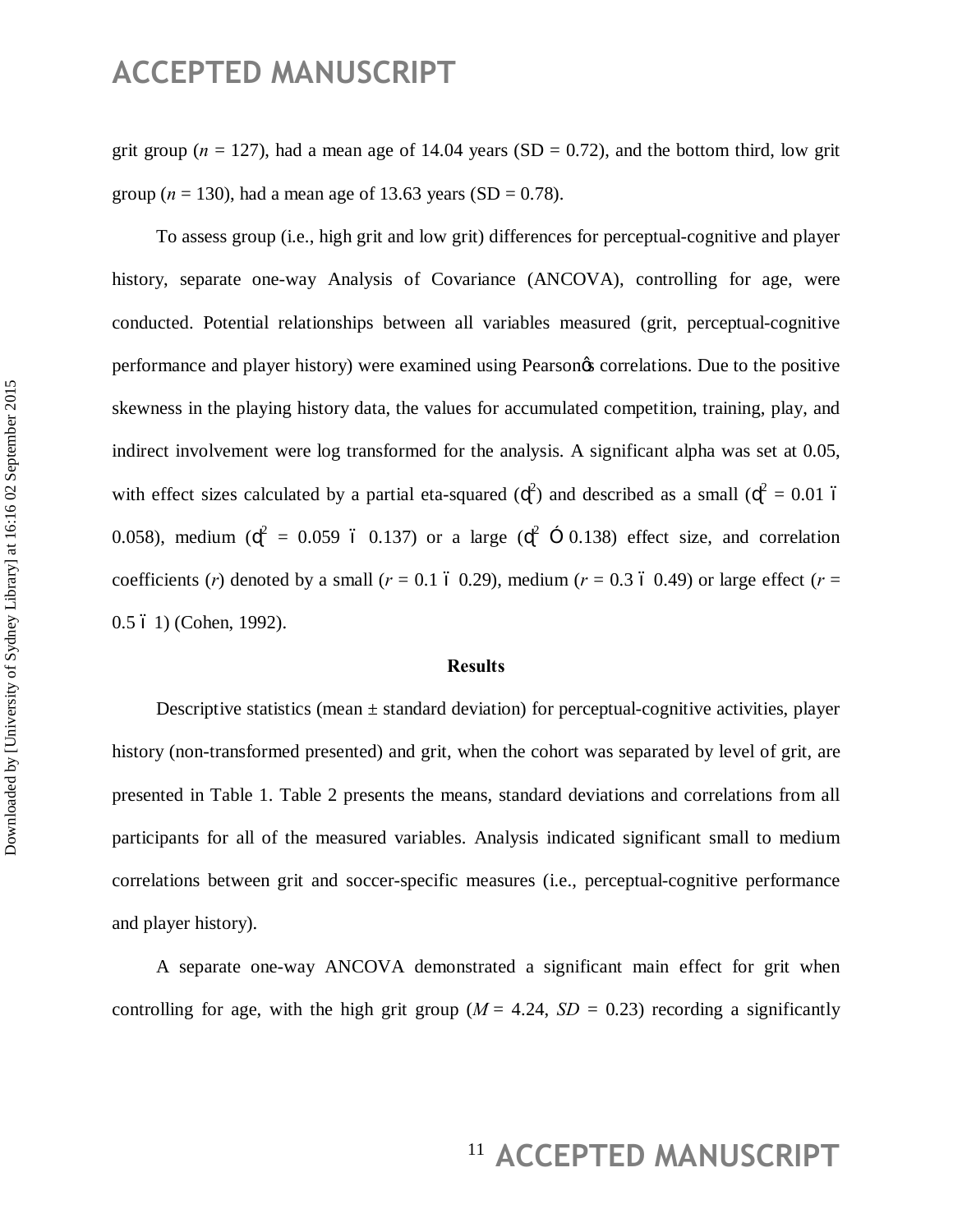grit group ( $n = 127$ ), had a mean age of 14.04 years (SD = 0.72), and the bottom third, low grit group ( $n = 130$ ), had a mean age of 13.63 years (SD = 0.78).

To assess group (i.e., high grit and low grit) differences for perceptual-cognitive and player history, separate one-way Analysis of Covariance (ANCOVA), controlling for age, were conducted. Potential relationships between all variables measured (grit, perceptual-cognitive performance and player history) were examined using Pearson's correlations. Due to the positive skewness in the playing history data, the values for accumulated competition, training, play, and indirect involvement were log transformed for the analysis. A significant alpha was set at 0.05, with effect sizes calculated by a partial eta-squared ( $^{2}$ ) and described as a small ( $^{2} = 0.01$  6 0.058), medium ( $^2$  = 0.059 6 0.137) or a large ( $^2$   $\times$  0.138) effect size, and correlation coefficients (*r*) denoted by a small ( $r = 0.1$  ó 0.29), medium ( $r = 0.3$  ó 0.49) or large effect ( $r =$ 0.5  $6$  1) (Cohen, 1992).

#### **Results**

Descriptive statistics (mean  $\pm$  standard deviation) for perceptual-cognitive activities, player history (non-transformed presented) and grit, when the cohort was separated by level of grit, are presented in Table 1. Table 2 presents the means, standard deviations and correlations from all participants for all of the measured variables. Analysis indicated significant small to medium correlations between grit and soccer-specific measures (i.e., perceptual-cognitive performance and player history).

A separate one-way ANCOVA demonstrated a significant main effect for grit when controlling for age, with the high grit group ( $M = 4.24$ ,  $SD = 0.23$ ) recording a significantly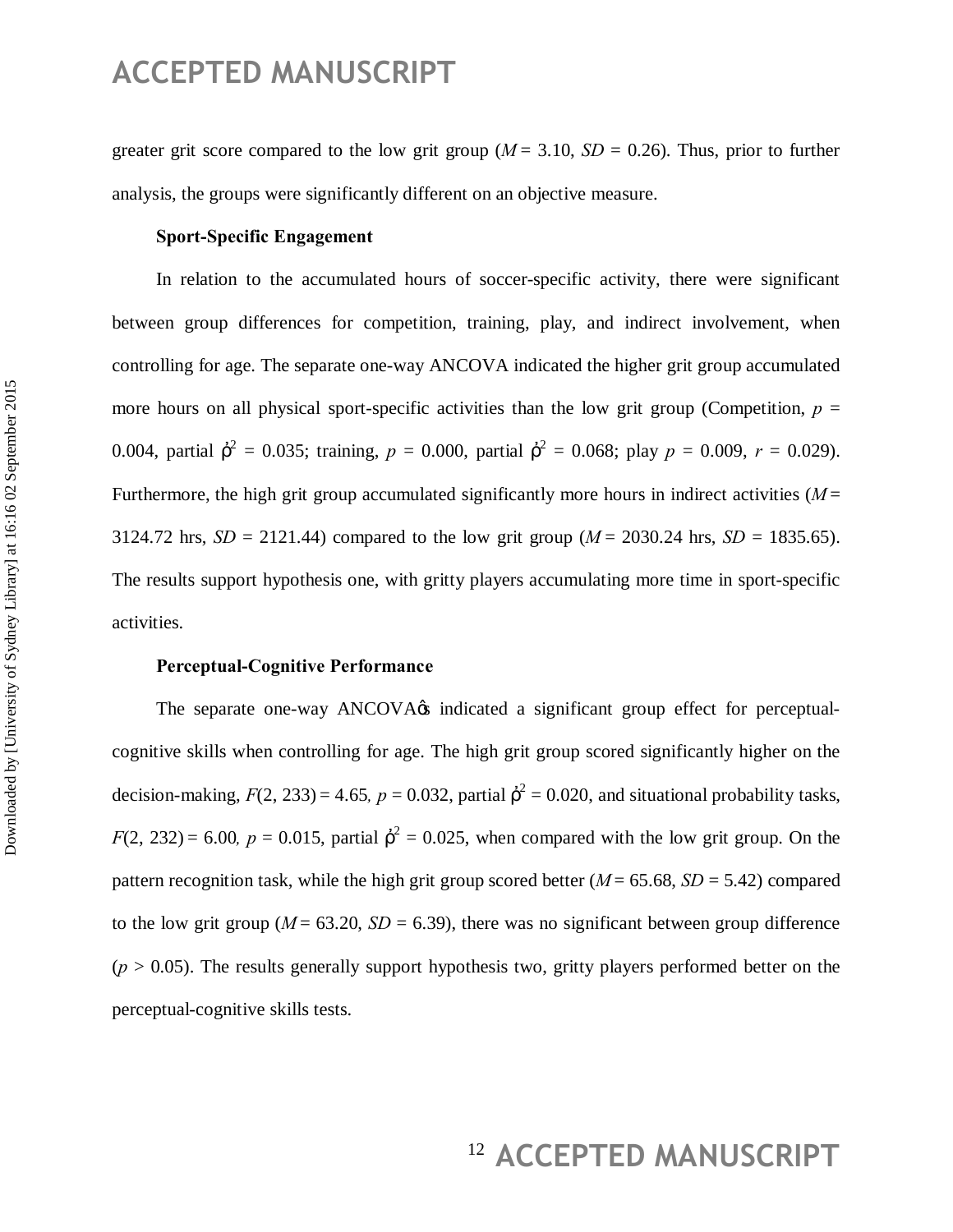greater grit score compared to the low grit group  $(M = 3.10, SD = 0.26)$ . Thus, prior to further analysis, the groups were significantly different on an objective measure.

#### **Sport-Specific Engagement**

In relation to the accumulated hours of soccer-specific activity, there were significant between group differences for competition, training, play, and indirect involvement, when controlling for age. The separate one-way ANCOVA indicated the higher grit group accumulated more hours on all physical sport-specific activities than the low grit group (Competition,  $p =$ 0.004, partial  $^{2} = 0.035$ ; training,  $p = 0.000$ , partial  $^{2} = 0.068$ ; play  $p = 0.009$ ,  $r = 0.029$ ). Furthermore, the high grit group accumulated significantly more hours in indirect activities (*M* = 3124.72 hrs,  $SD = 2121.44$ ) compared to the low grit group ( $M = 2030.24$  hrs,  $SD = 1835.65$ ). The results support hypothesis one, with gritty players accumulating more time in sport-specific activities.

#### **Perceptual-Cognitive Performance**

The separate one-way ANCOVA $\alpha$  indicated a significant group effect for perceptualcognitive skills when controlling for age. The high grit group scored significantly higher on the decision-making,  $F(2, 233) = 4.65$ ,  $p = 0.032$ , partial  $^{2} = 0.020$ , and situational probability tasks,  $F(2, 232) = 6.00$ ,  $p = 0.015$ , partial  $2 = 0.025$ , when compared with the low grit group. On the pattern recognition task, while the high grit group scored better  $(M = 65.68, SD = 5.42)$  compared to the low grit group ( $M = 63.20$ ,  $SD = 6.39$ ), there was no significant between group difference  $(p > 0.05)$ . The results generally support hypothesis two, gritty players performed better on the perceptual-cognitive skills tests.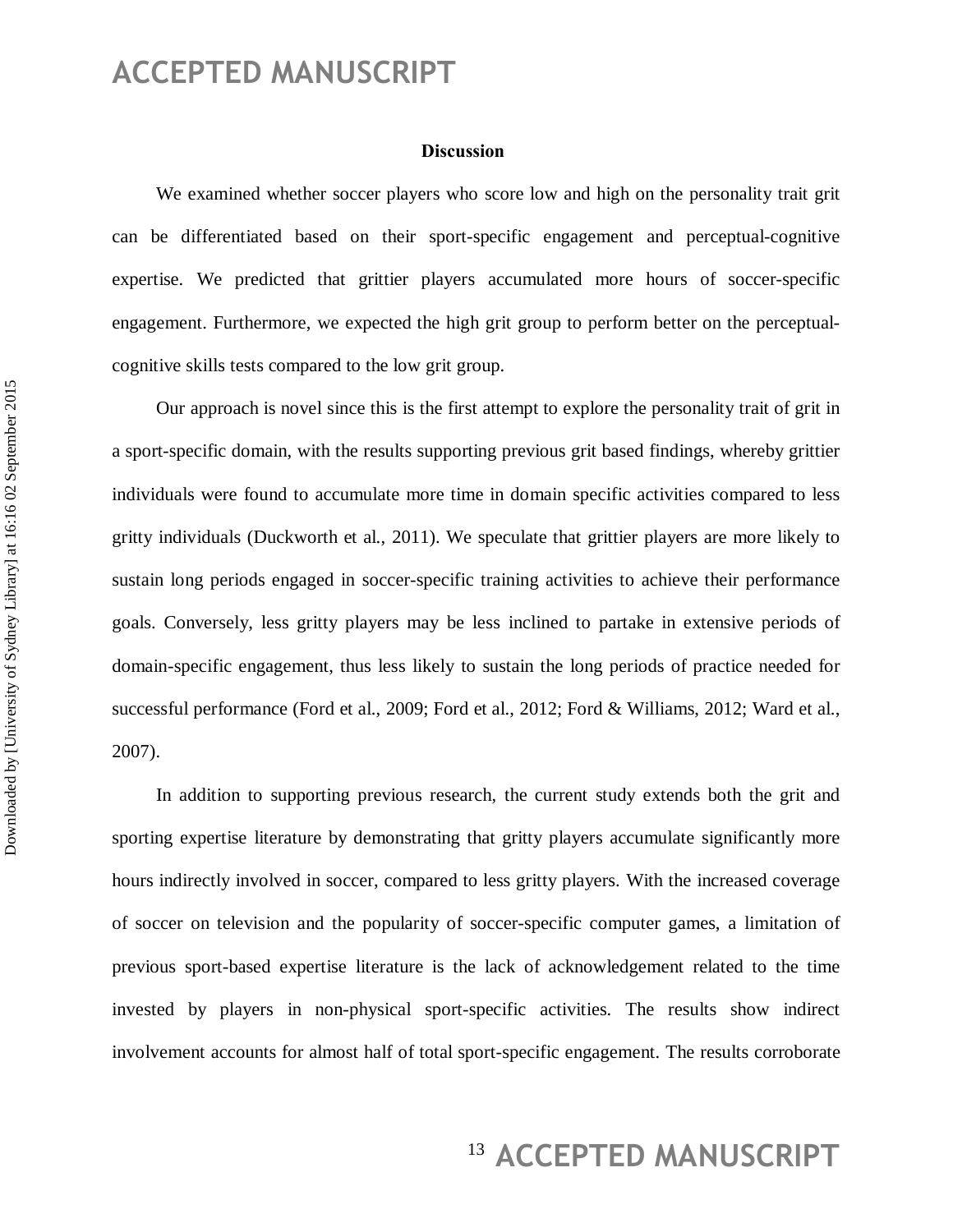#### **Discussion**

We examined whether soccer players who score low and high on the personality trait grit can be differentiated based on their sport-specific engagement and perceptual-cognitive expertise. We predicted that grittier players accumulated more hours of soccer-specific engagement. Furthermore, we expected the high grit group to perform better on the perceptualcognitive skills tests compared to the low grit group.

Our approach is novel since this is the first attempt to explore the personality trait of grit in a sport-specific domain, with the results supporting previous grit based findings, whereby grittier individuals were found to accumulate more time in domain specific activities compared to less gritty individuals (Duckworth et al., 2011). We speculate that grittier players are more likely to sustain long periods engaged in soccer-specific training activities to achieve their performance goals. Conversely, less gritty players may be less inclined to partake in extensive periods of domain-specific engagement, thus less likely to sustain the long periods of practice needed for successful performance (Ford et al., 2009; Ford et al., 2012; Ford & Williams, 2012; Ward et al., 2007).

In addition to supporting previous research, the current study extends both the grit and sporting expertise literature by demonstrating that gritty players accumulate significantly more hours indirectly involved in soccer, compared to less gritty players. With the increased coverage of soccer on television and the popularity of soccer-specific computer games, a limitation of previous sport-based expertise literature is the lack of acknowledgement related to the time invested by players in non-physical sport-specific activities. The results show indirect involvement accounts for almost half of total sport-specific engagement. The results corroborate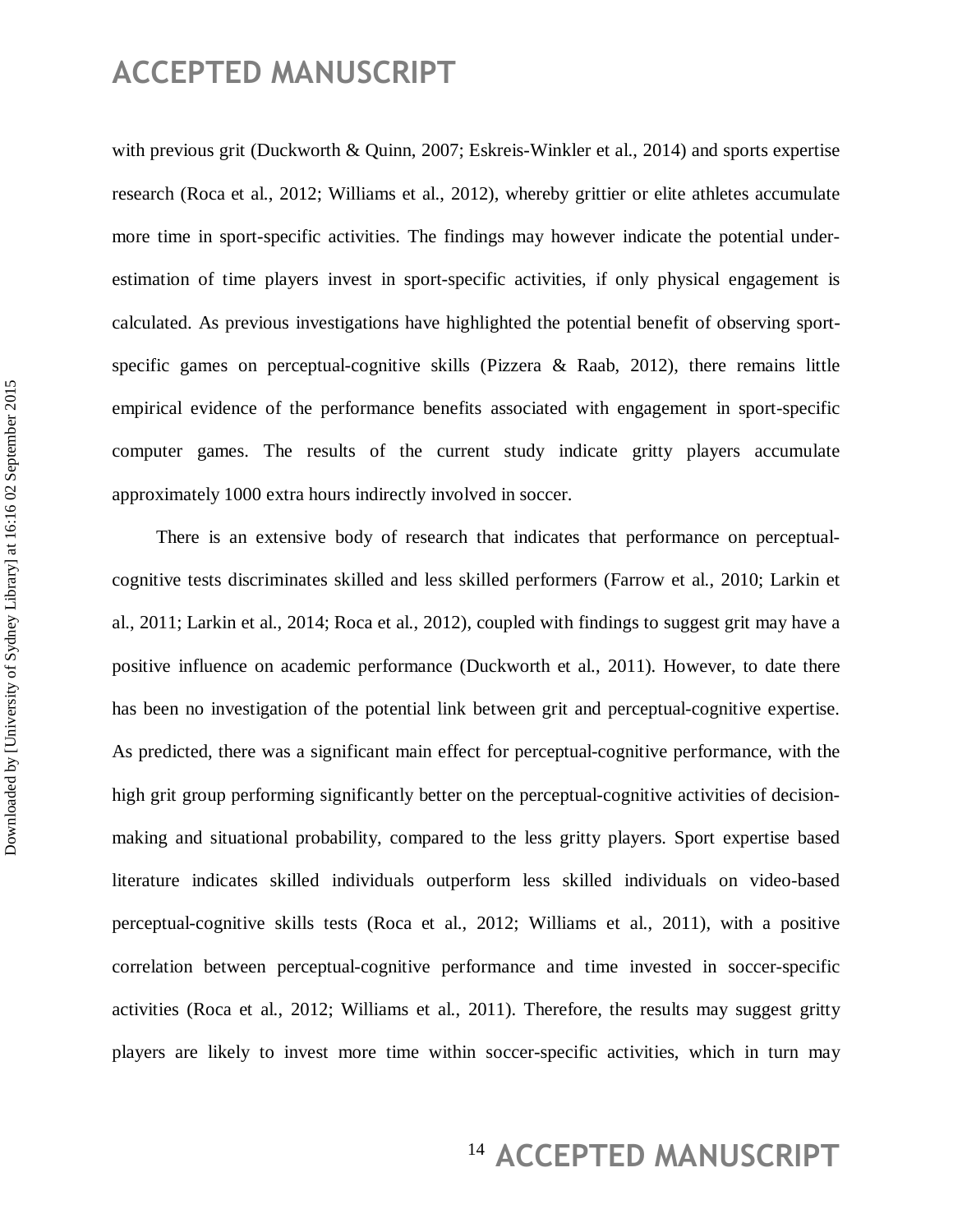with previous grit (Duckworth & Quinn, 2007; Eskreis-Winkler et al., 2014) and sports expertise research (Roca et al., 2012; Williams et al., 2012), whereby grittier or elite athletes accumulate more time in sport-specific activities. The findings may however indicate the potential underestimation of time players invest in sport-specific activities, if only physical engagement is calculated. As previous investigations have highlighted the potential benefit of observing sportspecific games on perceptual-cognitive skills (Pizzera  $\&$  Raab, 2012), there remains little empirical evidence of the performance benefits associated with engagement in sport-specific computer games. The results of the current study indicate gritty players accumulate approximately 1000 extra hours indirectly involved in soccer.

There is an extensive body of research that indicates that performance on perceptualcognitive tests discriminates skilled and less skilled performers (Farrow et al., 2010; Larkin et al., 2011; Larkin et al., 2014; Roca et al., 2012), coupled with findings to suggest grit may have a positive influence on academic performance (Duckworth et al., 2011). However, to date there has been no investigation of the potential link between grit and perceptual-cognitive expertise. As predicted, there was a significant main effect for perceptual-cognitive performance, with the high grit group performing significantly better on the perceptual-cognitive activities of decisionmaking and situational probability, compared to the less gritty players. Sport expertise based literature indicates skilled individuals outperform less skilled individuals on video-based perceptual-cognitive skills tests (Roca et al., 2012; Williams et al., 2011), with a positive correlation between perceptual-cognitive performance and time invested in soccer-specific activities (Roca et al., 2012; Williams et al., 2011). Therefore, the results may suggest gritty players are likely to invest more time within soccer-specific activities, which in turn may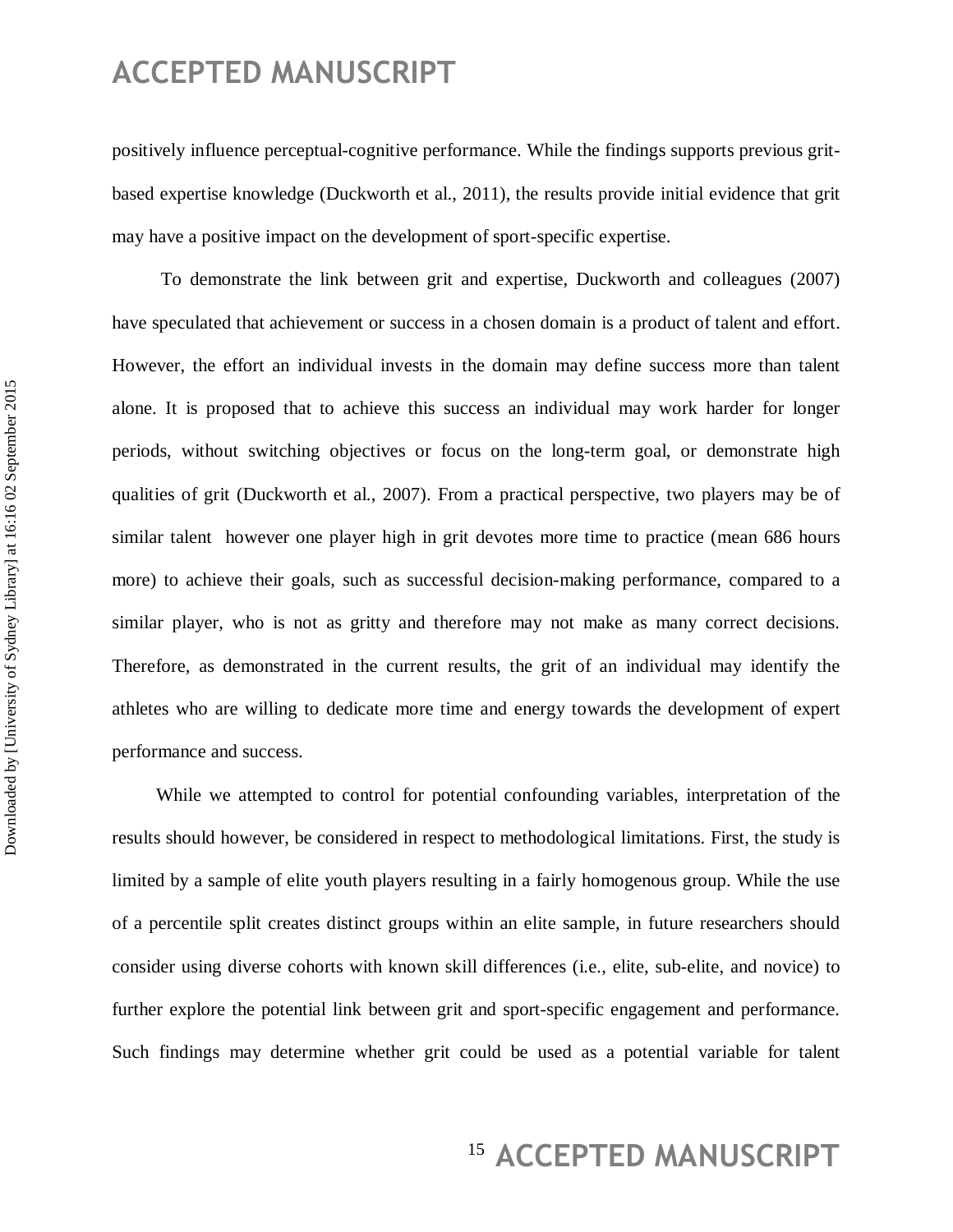positively influence perceptual-cognitive performance. While the findings supports previous gritbased expertise knowledge (Duckworth et al., 2011), the results provide initial evidence that grit may have a positive impact on the development of sport-specific expertise.

To demonstrate the link between grit and expertise, Duckworth and colleagues (2007) have speculated that achievement or success in a chosen domain is a product of talent and effort. However, the effort an individual invests in the domain may define success more than talent alone. It is proposed that to achieve this success an individual may work harder for longer periods, without switching objectives or focus on the long-term goal, or demonstrate high qualities of grit (Duckworth et al., 2007). From a practical perspective, two players may be of similar talent however one player high in grit devotes more time to practice (mean 686 hours more) to achieve their goals, such as successful decision-making performance, compared to a similar player, who is not as gritty and therefore may not make as many correct decisions. Therefore, as demonstrated in the current results, the grit of an individual may identify the athletes who are willing to dedicate more time and energy towards the development of expert performance and success.

While we attempted to control for potential confounding variables, interpretation of the results should however, be considered in respect to methodological limitations. First, the study is limited by a sample of elite youth players resulting in a fairly homogenous group. While the use of a percentile split creates distinct groups within an elite sample, in future researchers should consider using diverse cohorts with known skill differences (i.e., elite, sub-elite, and novice) to further explore the potential link between grit and sport-specific engagement and performance. Such findings may determine whether grit could be used as a potential variable for talent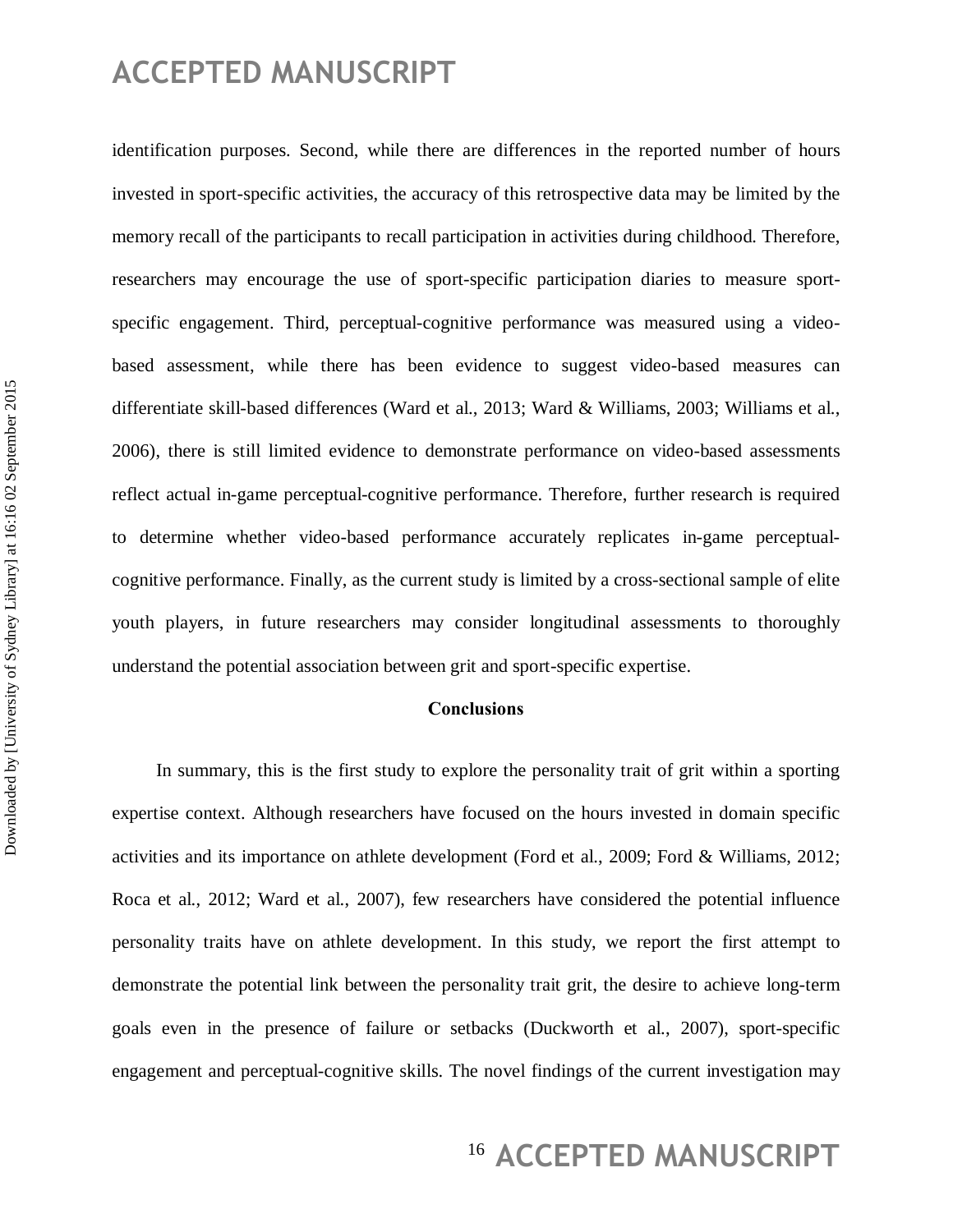identification purposes. Second, while there are differences in the reported number of hours invested in sport-specific activities, the accuracy of this retrospective data may be limited by the memory recall of the participants to recall participation in activities during childhood. Therefore, researchers may encourage the use of sport-specific participation diaries to measure sportspecific engagement. Third, perceptual-cognitive performance was measured using a videobased assessment, while there has been evidence to suggest video-based measures can differentiate skill-based differences (Ward et al., 2013; Ward & Williams, 2003; Williams et al., 2006), there is still limited evidence to demonstrate performance on video-based assessments reflect actual in-game perceptual-cognitive performance. Therefore, further research is required to determine whether video-based performance accurately replicates in-game perceptualcognitive performance. Finally, as the current study is limited by a cross-sectional sample of elite youth players, in future researchers may consider longitudinal assessments to thoroughly understand the potential association between grit and sport-specific expertise.

#### **Conclusions**

In summary, this is the first study to explore the personality trait of grit within a sporting expertise context. Although researchers have focused on the hours invested in domain specific activities and its importance on athlete development (Ford et al., 2009; Ford & Williams, 2012; Roca et al., 2012; Ward et al., 2007), few researchers have considered the potential influence personality traits have on athlete development. In this study, we report the first attempt to demonstrate the potential link between the personality trait grit, the desire to achieve long-term goals even in the presence of failure or setbacks (Duckworth et al., 2007), sport-specific engagement and perceptual-cognitive skills. The novel findings of the current investigation may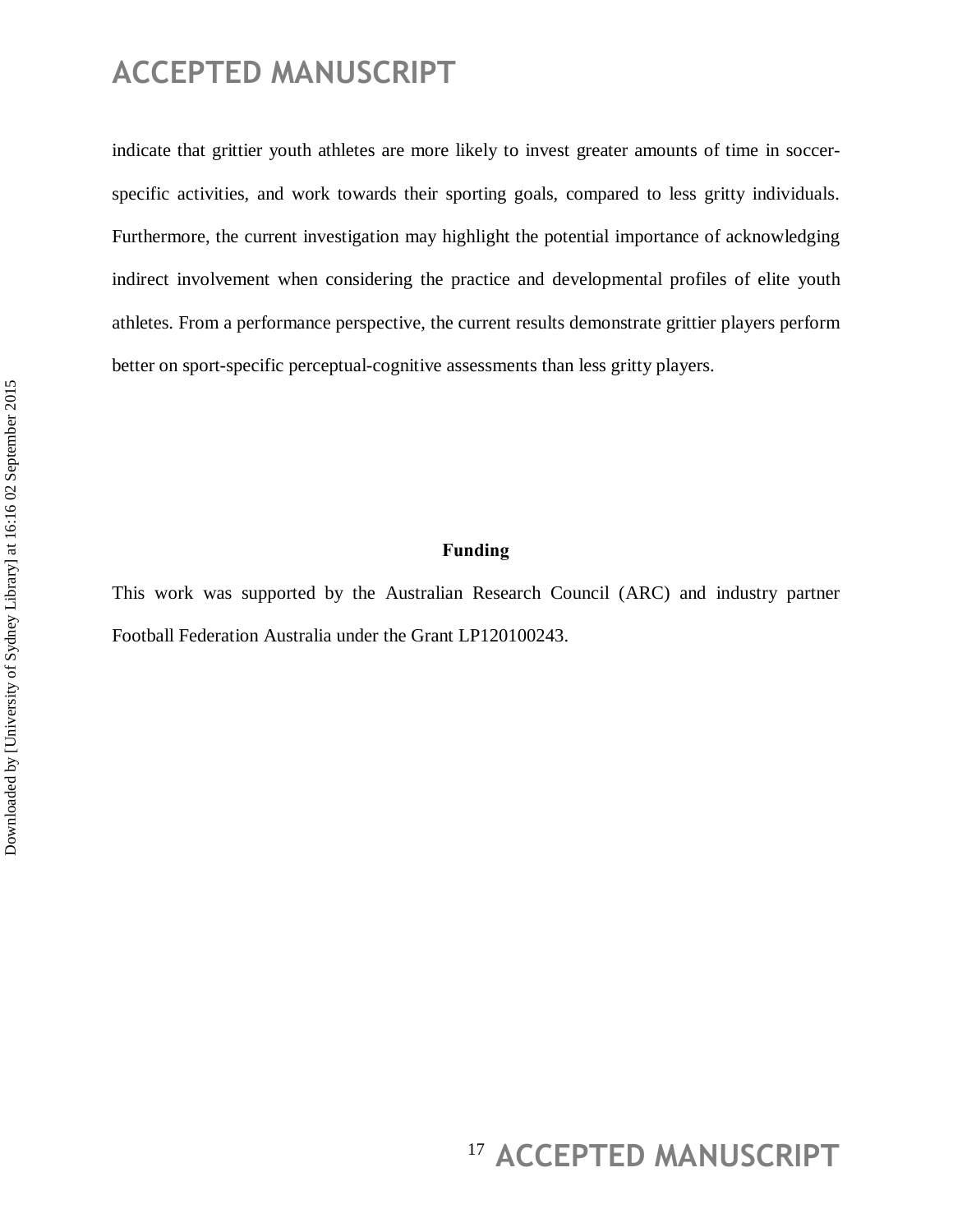indicate that grittier youth athletes are more likely to invest greater amounts of time in soccerspecific activities, and work towards their sporting goals, compared to less gritty individuals. Furthermore, the current investigation may highlight the potential importance of acknowledging indirect involvement when considering the practice and developmental profiles of elite youth athletes. From a performance perspective, the current results demonstrate grittier players perform better on sport-specific perceptual-cognitive assessments than less gritty players.

#### **Funding**

This work was supported by the Australian Research Council (ARC) and industry partner Football Federation Australia under the Grant LP120100243.

<sup>17</sup> ACCEPTED MANUSCRIPT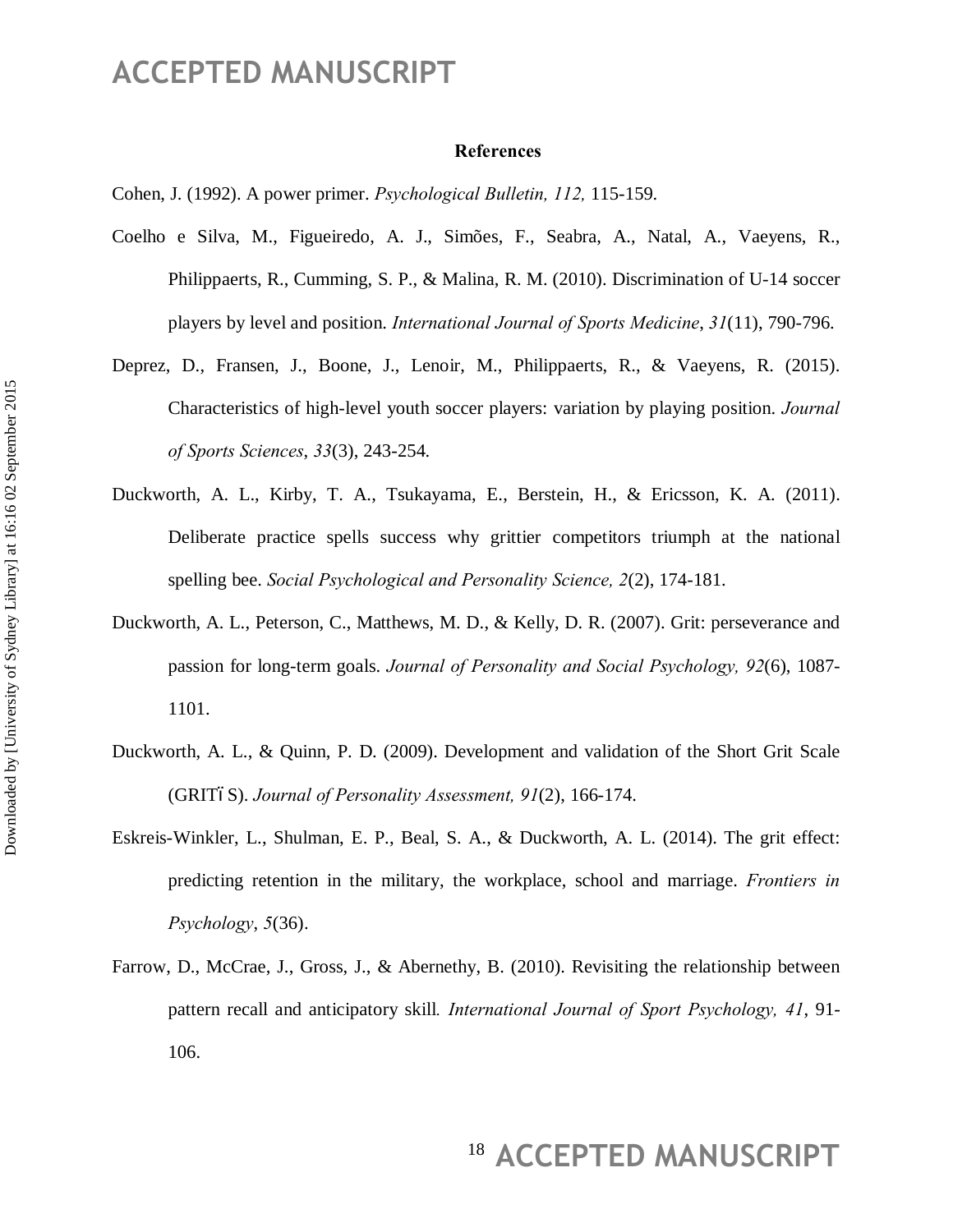#### **References**

Cohen, J. (1992). A power primer. *Psychological Bulletin, 112,* 115-159.

- Coelho e Silva, M., Figueiredo, A. J., Simões, F., Seabra, A., Natal, A., Vaeyens, R., Philippaerts, R., Cumming, S. P., & Malina, R. M. (2010). Discrimination of U-14 soccer players by level and position. *International Journal of Sports Medicine*, *31*(11), 790-796.
- Deprez, D., Fransen, J., Boone, J., Lenoir, M., Philippaerts, R., & Vaeyens, R. (2015). Characteristics of high-level youth soccer players: variation by playing position. *Journal of Sports Sciences*, *33*(3), 243-254.
- Duckworth, A. L., Kirby, T. A., Tsukayama, E., Berstein, H., & Ericsson, K. A. (2011). Deliberate practice spells success why grittier competitors triumph at the national spelling bee. *Social Psychological and Personality Science, 2*(2), 174-181.
- Duckworth, A. L., Peterson, C., Matthews, M. D., & Kelly, D. R. (2007). Grit: perseverance and passion for long-term goals. *Journal of Personality and Social Psychology, 92*(6), 1087- 1101.
- Duckworth, A. L., & Quinn, P. D. (2009). Development and validation of the Short Grit Scale (GRIT6S). *Journal of Personality Assessment, 91(2)*, 166-174.
- Eskreis-Winkler, L., Shulman, E. P., Beal, S. A., & Duckworth, A. L. (2014). The grit effect: predicting retention in the military, the workplace, school and marriage. *Frontiers in Psychology*, *5*(36).
- Farrow, D., McCrae, J., Gross, J., & Abernethy, B. (2010). Revisiting the relationship between pattern recall and anticipatory skill*. International Journal of Sport Psychology, 41*, 91- 106.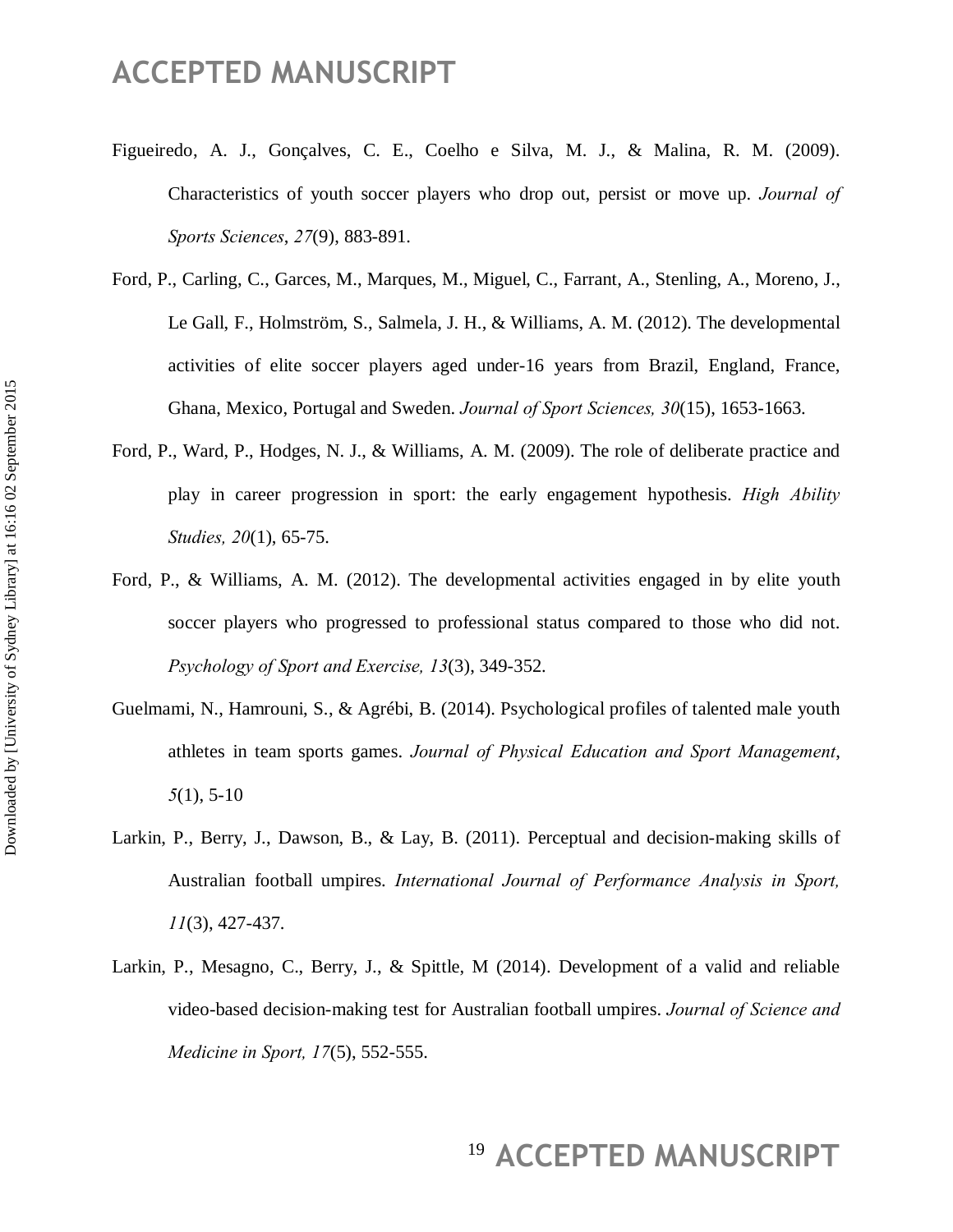- Figueiredo, A. J., Gonçalves, C. E., Coelho e Silva, M. J., & Malina, R. M. (2009). Characteristics of youth soccer players who drop out, persist or move up. *Journal of Sports Sciences*, *27*(9), 883-891.
- Ford, P., Carling, C., Garces, M., Marques, M., Miguel, C., Farrant, A., Stenling, A., Moreno, J., Le Gall, F., Holmström, S., Salmela, J. H., & Williams, A. M. (2012). The developmental activities of elite soccer players aged under-16 years from Brazil, England, France, Ghana, Mexico, Portugal and Sweden. *Journal of Sport Sciences, 30*(15), 1653-1663.
- Ford, P., Ward, P., Hodges, N. J., & Williams, A. M. (2009). The role of deliberate practice and play in career progression in sport: the early engagement hypothesis. *High Ability Studies, 20*(1), 65-75.
- Ford, P., & Williams, A. M. (2012). The developmental activities engaged in by elite youth soccer players who progressed to professional status compared to those who did not. *Psychology of Sport and Exercise, 13*(3), 349-352.
- Guelmami, N., Hamrouni, S., & Agrébi, B. (2014). Psychological profiles of talented male youth athletes in team sports games. *Journal of Physical Education and Sport Management*, *5*(1), 5-10
- Larkin, P., Berry, J., Dawson, B., & Lay, B. (2011). Perceptual and decision-making skills of Australian football umpires. *International Journal of Performance Analysis in Sport, 11*(3), 427-437.
- Larkin, P., Mesagno, C., Berry, J., & Spittle, M (2014). Development of a valid and reliable video-based decision-making test for Australian football umpires. *Journal of Science and Medicine in Sport, 17*(5), 552-555.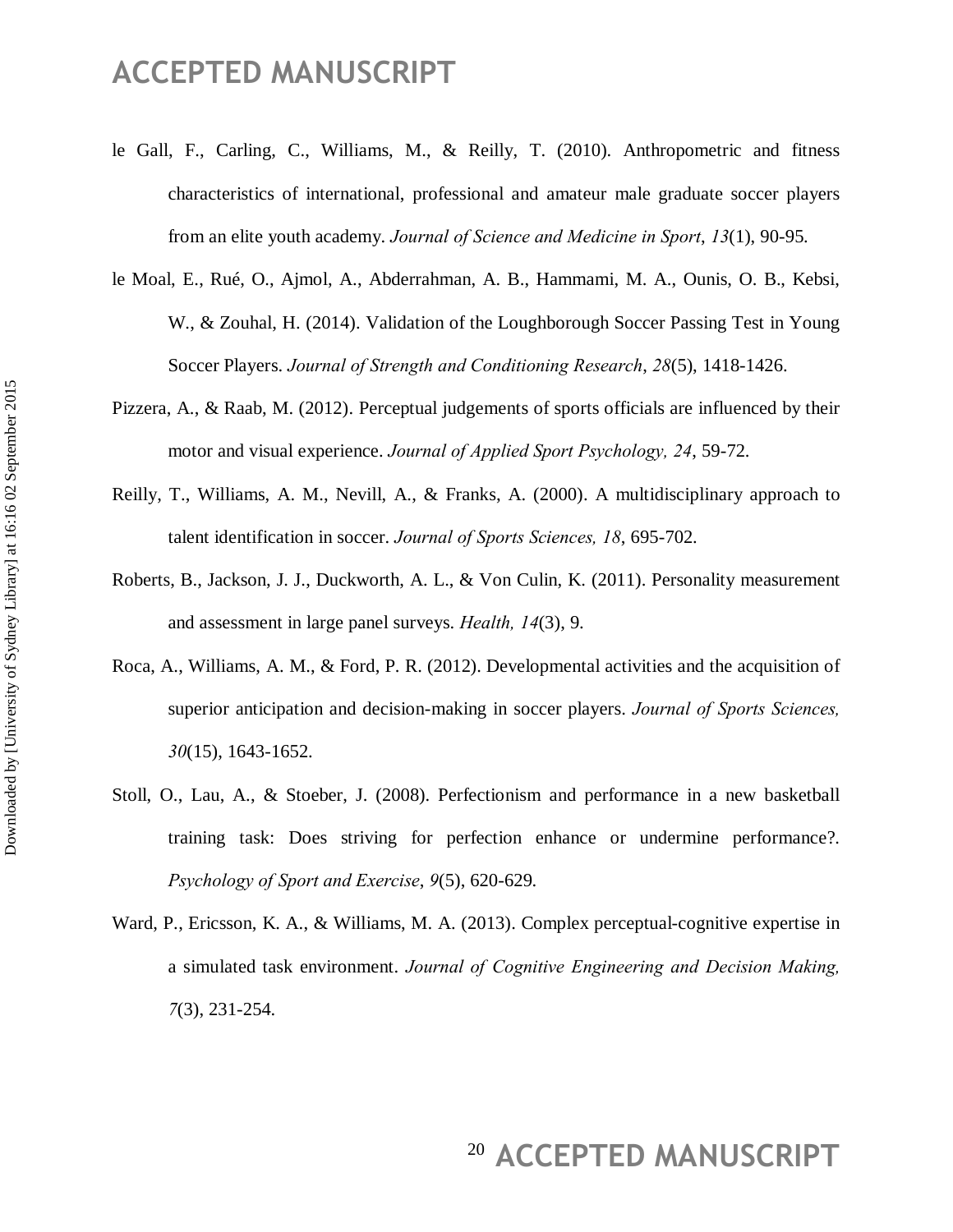- le Gall, F., Carling, C., Williams, M., & Reilly, T. (2010). Anthropometric and fitness characteristics of international, professional and amateur male graduate soccer players from an elite youth academy. *Journal of Science and Medicine in Sport*, *13*(1), 90-95.
- le Moal, E., Rué, O., Ajmol, A., Abderrahman, A. B., Hammami, M. A., Ounis, O. B., Kebsi, W., & Zouhal, H. (2014). Validation of the Loughborough Soccer Passing Test in Young Soccer Players. *Journal of Strength and Conditioning Research*, *28*(5), 1418-1426.
- Pizzera, A., & Raab, M. (2012). Perceptual judgements of sports officials are influenced by their motor and visual experience. *Journal of Applied Sport Psychology, 24*, 59-72.
- Reilly, T., Williams, A. M., Nevill, A., & Franks, A. (2000). A multidisciplinary approach to talent identification in soccer. *Journal of Sports Sciences, 18*, 695-702.
- Roberts, B., Jackson, J. J., Duckworth, A. L., & Von Culin, K. (2011). Personality measurement and assessment in large panel surveys. *Health, 14*(3), 9.
- Roca, A., Williams, A. M., & Ford, P. R. (2012). Developmental activities and the acquisition of superior anticipation and decision-making in soccer players. *Journal of Sports Sciences, 30*(15), 1643-1652.
- Stoll, O., Lau, A., & Stoeber, J. (2008). Perfectionism and performance in a new basketball training task: Does striving for perfection enhance or undermine performance?. *Psychology of Sport and Exercise*, *9*(5), 620-629.
- Ward, P., Ericsson, K. A., & Williams, M. A. (2013). Complex perceptual-cognitive expertise in a simulated task environment. *Journal of Cognitive Engineering and Decision Making, 7*(3), 231-254.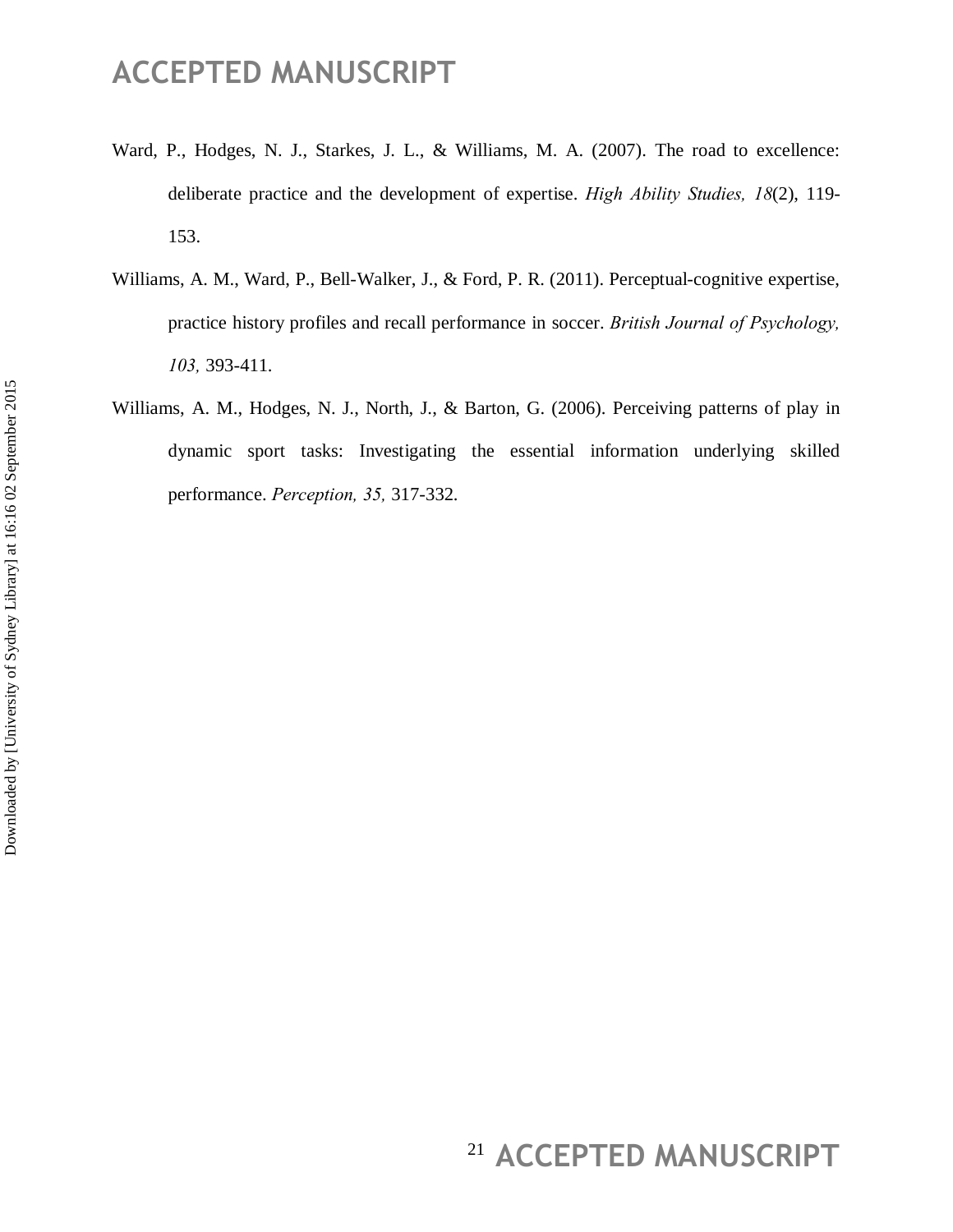- Ward, P., Hodges, N. J., Starkes, J. L., & Williams, M. A. (2007). The road to excellence: deliberate practice and the development of expertise. *High Ability Studies, 18*(2), 119- 153.
- Williams, A. M., Ward, P., Bell-Walker, J., & Ford, P. R. (2011). Perceptual-cognitive expertise, practice history profiles and recall performance in soccer. *British Journal of Psychology, 103,* 393-411.
- Williams, A. M., Hodges, N. J., North, J., & Barton, G. (2006). Perceiving patterns of play in dynamic sport tasks: Investigating the essential information underlying skilled performance. *Perception, 35,* 317-332.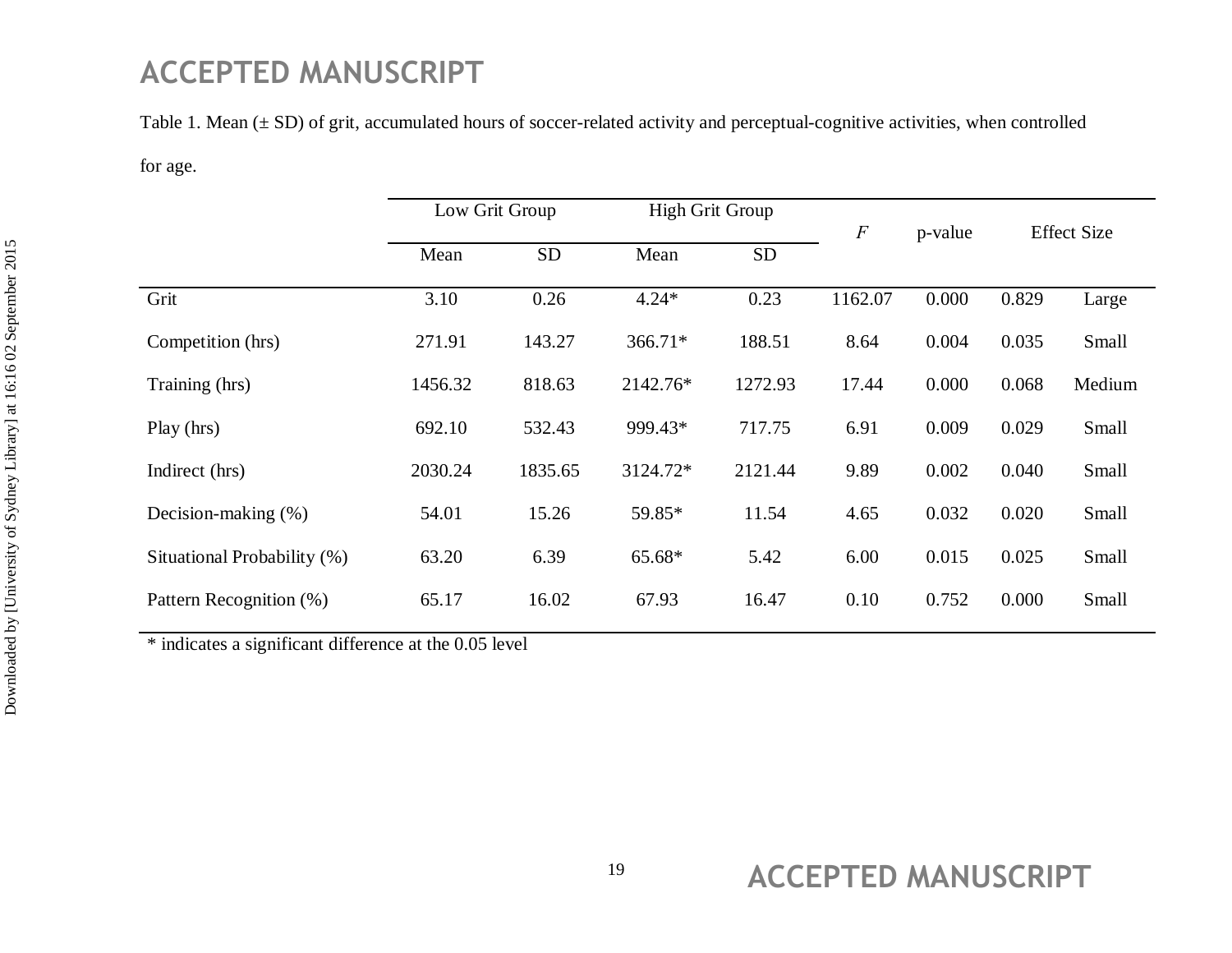Table 1. Mean  $(\pm SD)$  of grit, accumulated hours of soccer-related activity and perceptual-cognitive activities, when controlled

for age.

|                             | Low Grit Group |           | <b>High Grit Group</b> |           | $\cal F$ | p-value | <b>Effect Size</b> |        |
|-----------------------------|----------------|-----------|------------------------|-----------|----------|---------|--------------------|--------|
|                             | Mean           | <b>SD</b> | Mean                   | <b>SD</b> |          |         |                    |        |
| Grit                        | 3.10           | 0.26      | $4.24*$                | 0.23      | 1162.07  | 0.000   | 0.829              | Large  |
| Competition (hrs)           | 271.91         | 143.27    | 366.71*                | 188.51    | 8.64     | 0.004   | 0.035              | Small  |
| Training (hrs)              | 1456.32        | 818.63    | 2142.76*               | 1272.93   | 17.44    | 0.000   | 0.068              | Medium |
| Play (hrs)                  | 692.10         | 532.43    | 999.43*                | 717.75    | 6.91     | 0.009   | 0.029              | Small  |
| Indirect (hrs)              | 2030.24        | 1835.65   | 3124.72*               | 2121.44   | 9.89     | 0.002   | 0.040              | Small  |
| Decision-making (%)         | 54.01          | 15.26     | 59.85*                 | 11.54     | 4.65     | 0.032   | 0.020              | Small  |
| Situational Probability (%) | 63.20          | 6.39      | 65.68*                 | 5.42      | 6.00     | 0.015   | 0.025              | Small  |
| Pattern Recognition (%)     | 65.17          | 16.02     | 67.93                  | 16.47     | 0.10     | 0.752   | 0.000              | Small  |

\* indicates a significant difference at the 0.05 level